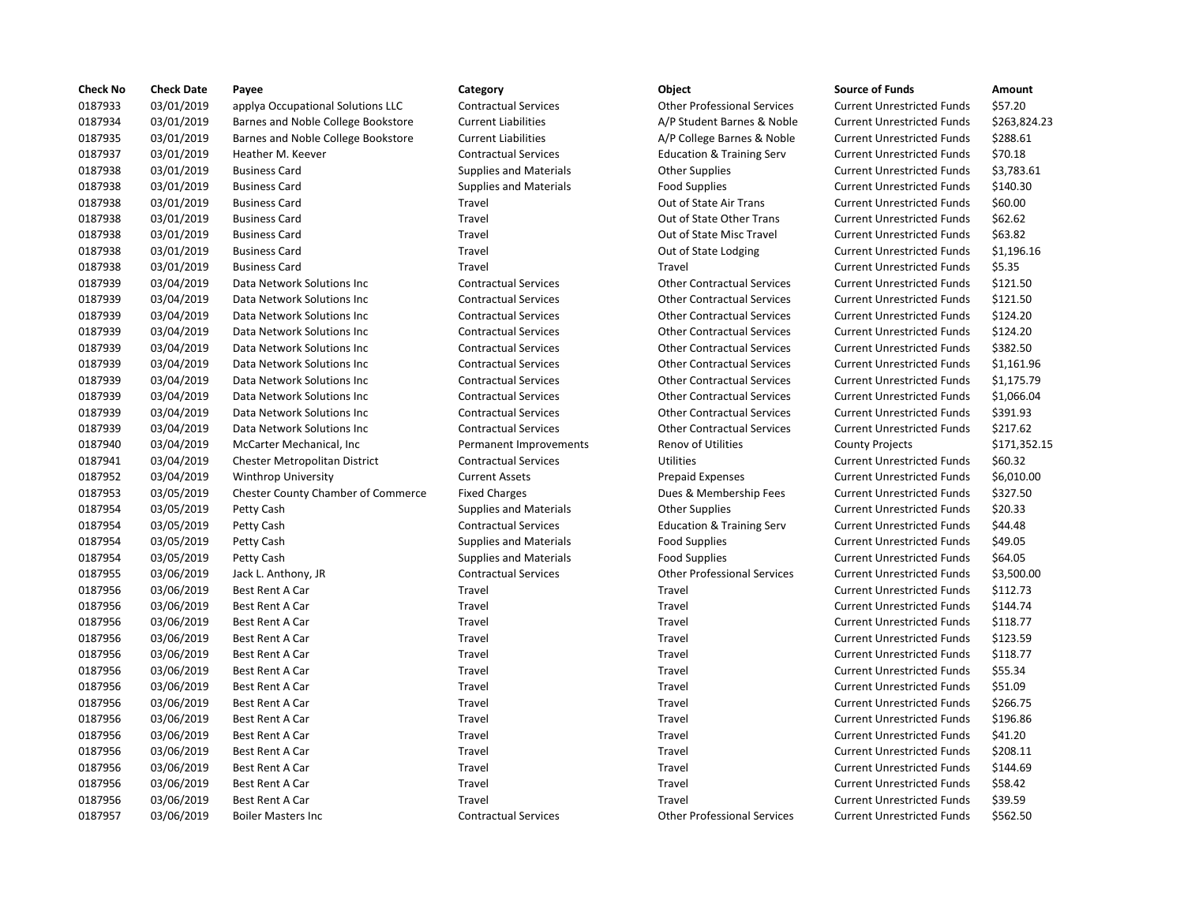| <b>Check No</b> | <b>Check Date</b> | Payee                              | Category                      | Object                               | <b>Source of Funds</b>            | Amount       |
|-----------------|-------------------|------------------------------------|-------------------------------|--------------------------------------|-----------------------------------|--------------|
| 0187933         | 03/01/2019        | applya Occupational Solutions LLC  | <b>Contractual Services</b>   | <b>Other Professional Services</b>   | <b>Current Unrestricted Funds</b> | \$57.20      |
| 0187934         | 03/01/2019        | Barnes and Noble College Bookstore | <b>Current Liabilities</b>    | A/P Student Barnes & Noble           | <b>Current Unrestricted Funds</b> | \$263,824.23 |
| 0187935         | 03/01/2019        | Barnes and Noble College Bookstore | <b>Current Liabilities</b>    | A/P College Barnes & Noble           | <b>Current Unrestricted Funds</b> | \$288.61     |
| 0187937         | 03/01/2019        | Heather M. Keever                  | <b>Contractual Services</b>   | <b>Education &amp; Training Serv</b> | <b>Current Unrestricted Funds</b> | \$70.18      |
| 0187938         | 03/01/2019        | <b>Business Card</b>               | <b>Supplies and Materials</b> | <b>Other Supplies</b>                | <b>Current Unrestricted Funds</b> | \$3,783.61   |
| 0187938         | 03/01/2019        | <b>Business Card</b>               | Supplies and Materials        | <b>Food Supplies</b>                 | <b>Current Unrestricted Funds</b> | \$140.30     |
| 0187938         | 03/01/2019        | <b>Business Card</b>               | Travel                        | Out of State Air Trans               | <b>Current Unrestricted Funds</b> | \$60.00      |
| 0187938         | 03/01/2019        | <b>Business Card</b>               | Travel                        | Out of State Other Trans             | <b>Current Unrestricted Funds</b> | \$62.62      |
| 0187938         | 03/01/2019        | <b>Business Card</b>               | Travel                        | Out of State Misc Travel             | <b>Current Unrestricted Funds</b> | \$63.82      |
| 0187938         | 03/01/2019        | <b>Business Card</b>               | Travel                        | Out of State Lodging                 | <b>Current Unrestricted Funds</b> | \$1,196.16   |
| 0187938         | 03/01/2019        | <b>Business Card</b>               | Travel                        | Travel                               | <b>Current Unrestricted Funds</b> | \$5.35       |
| 0187939         | 03/04/2019        | Data Network Solutions Inc         | <b>Contractual Services</b>   | <b>Other Contractual Services</b>    | <b>Current Unrestricted Funds</b> | \$121.50     |
| 0187939         | 03/04/2019        | Data Network Solutions Inc         | <b>Contractual Services</b>   | <b>Other Contractual Services</b>    | <b>Current Unrestricted Funds</b> | \$121.50     |
| 0187939         | 03/04/2019        | Data Network Solutions Inc         | <b>Contractual Services</b>   | <b>Other Contractual Services</b>    | <b>Current Unrestricted Funds</b> | \$124.20     |
| 0187939         | 03/04/2019        | Data Network Solutions Inc         | <b>Contractual Services</b>   | <b>Other Contractual Services</b>    | <b>Current Unrestricted Funds</b> | \$124.20     |
| 0187939         | 03/04/2019        | Data Network Solutions Inc         | <b>Contractual Services</b>   | <b>Other Contractual Services</b>    | <b>Current Unrestricted Funds</b> | \$382.50     |
| 0187939         | 03/04/2019        | Data Network Solutions Inc         | <b>Contractual Services</b>   | <b>Other Contractual Services</b>    | <b>Current Unrestricted Funds</b> | \$1,161.96   |
| 0187939         | 03/04/2019        | Data Network Solutions Inc         | <b>Contractual Services</b>   | <b>Other Contractual Services</b>    | <b>Current Unrestricted Funds</b> | \$1,175.79   |
| 0187939         | 03/04/2019        | Data Network Solutions Inc         | <b>Contractual Services</b>   | <b>Other Contractual Services</b>    | <b>Current Unrestricted Funds</b> | \$1,066.04   |
| 0187939         | 03/04/2019        | Data Network Solutions Inc         | <b>Contractual Services</b>   | <b>Other Contractual Services</b>    | <b>Current Unrestricted Funds</b> | \$391.93     |
| 0187939         | 03/04/2019        | Data Network Solutions Inc         | <b>Contractual Services</b>   | <b>Other Contractual Services</b>    | <b>Current Unrestricted Funds</b> | \$217.62     |
| 0187940         | 03/04/2019        | McCarter Mechanical, Inc.          | Permanent Improvements        | <b>Renov of Utilities</b>            | <b>County Projects</b>            | \$171,352.15 |
| 0187941         | 03/04/2019        | Chester Metropolitan District      | <b>Contractual Services</b>   | Utilities                            | <b>Current Unrestricted Funds</b> | \$60.32      |
| 0187952         | 03/04/2019        | <b>Winthrop University</b>         | <b>Current Assets</b>         | <b>Prepaid Expenses</b>              | <b>Current Unrestricted Funds</b> | \$6,010.00   |
| 0187953         | 03/05/2019        | Chester County Chamber of Commerce | <b>Fixed Charges</b>          | Dues & Membership Fees               | <b>Current Unrestricted Funds</b> | \$327.50     |
| 0187954         | 03/05/2019        | Petty Cash                         | <b>Supplies and Materials</b> | <b>Other Supplies</b>                | <b>Current Unrestricted Funds</b> | \$20.33      |
| 0187954         | 03/05/2019        | Petty Cash                         | <b>Contractual Services</b>   | <b>Education &amp; Training Serv</b> | <b>Current Unrestricted Funds</b> | \$44.48      |
| 0187954         | 03/05/2019        | Petty Cash                         | <b>Supplies and Materials</b> | <b>Food Supplies</b>                 | <b>Current Unrestricted Funds</b> | \$49.05      |
| 0187954         | 03/05/2019        | Petty Cash                         | Supplies and Materials        | <b>Food Supplies</b>                 | <b>Current Unrestricted Funds</b> | \$64.05      |
| 0187955         | 03/06/2019        | Jack L. Anthony, JR                | <b>Contractual Services</b>   | <b>Other Professional Services</b>   | <b>Current Unrestricted Funds</b> | \$3,500.00   |
| 0187956         | 03/06/2019        | Best Rent A Car                    | Travel                        | Travel                               | <b>Current Unrestricted Funds</b> | \$112.73     |
| 0187956         | 03/06/2019        | Best Rent A Car                    | Travel                        | Travel                               | <b>Current Unrestricted Funds</b> | \$144.74     |
| 0187956         | 03/06/2019        | Best Rent A Car                    | Travel                        | Travel                               | <b>Current Unrestricted Funds</b> | \$118.77     |
| 0187956         | 03/06/2019        | Best Rent A Car                    | Travel                        | Travel                               | <b>Current Unrestricted Funds</b> | \$123.59     |
| 0187956         | 03/06/2019        | Best Rent A Car                    | Travel                        | Travel                               | <b>Current Unrestricted Funds</b> | \$118.77     |
| 0187956         | 03/06/2019        | Best Rent A Car                    | Travel                        | Travel                               | <b>Current Unrestricted Funds</b> | \$55.34      |
| 0187956         | 03/06/2019        | Best Rent A Car                    | Travel                        | Travel                               | <b>Current Unrestricted Funds</b> | \$51.09      |
| 0187956         | 03/06/2019        | Best Rent A Car                    | Travel                        | Travel                               | <b>Current Unrestricted Funds</b> | \$266.75     |
| 0187956         | 03/06/2019        | Best Rent A Car                    | Travel                        | Travel                               | <b>Current Unrestricted Funds</b> | \$196.86     |
| 0187956         | 03/06/2019        | Best Rent A Car                    | Travel                        | Travel                               | <b>Current Unrestricted Funds</b> | \$41.20      |
| 0187956         | 03/06/2019        | Best Rent A Car                    | Travel                        | Travel                               | <b>Current Unrestricted Funds</b> | \$208.11     |
| 0187956         | 03/06/2019        | Best Rent A Car                    | Travel                        | Travel                               | <b>Current Unrestricted Funds</b> | \$144.69     |
| 0187956         | 03/06/2019        | Best Rent A Car                    | Travel                        | Travel                               | <b>Current Unrestricted Funds</b> | \$58.42      |
| 0187956         | 03/06/2019        | <b>Best Rent A Car</b>             | Travel                        | Travel                               | <b>Current Unrestricted Funds</b> | \$39.59      |
| 0187957         | 03/06/2019        | <b>Boiler Masters Inc</b>          | <b>Contractual Services</b>   | <b>Other Professional Services</b>   | <b>Current Unrestricted Funds</b> | \$562.50     |
|                 |                   |                                    |                               |                                      |                                   |              |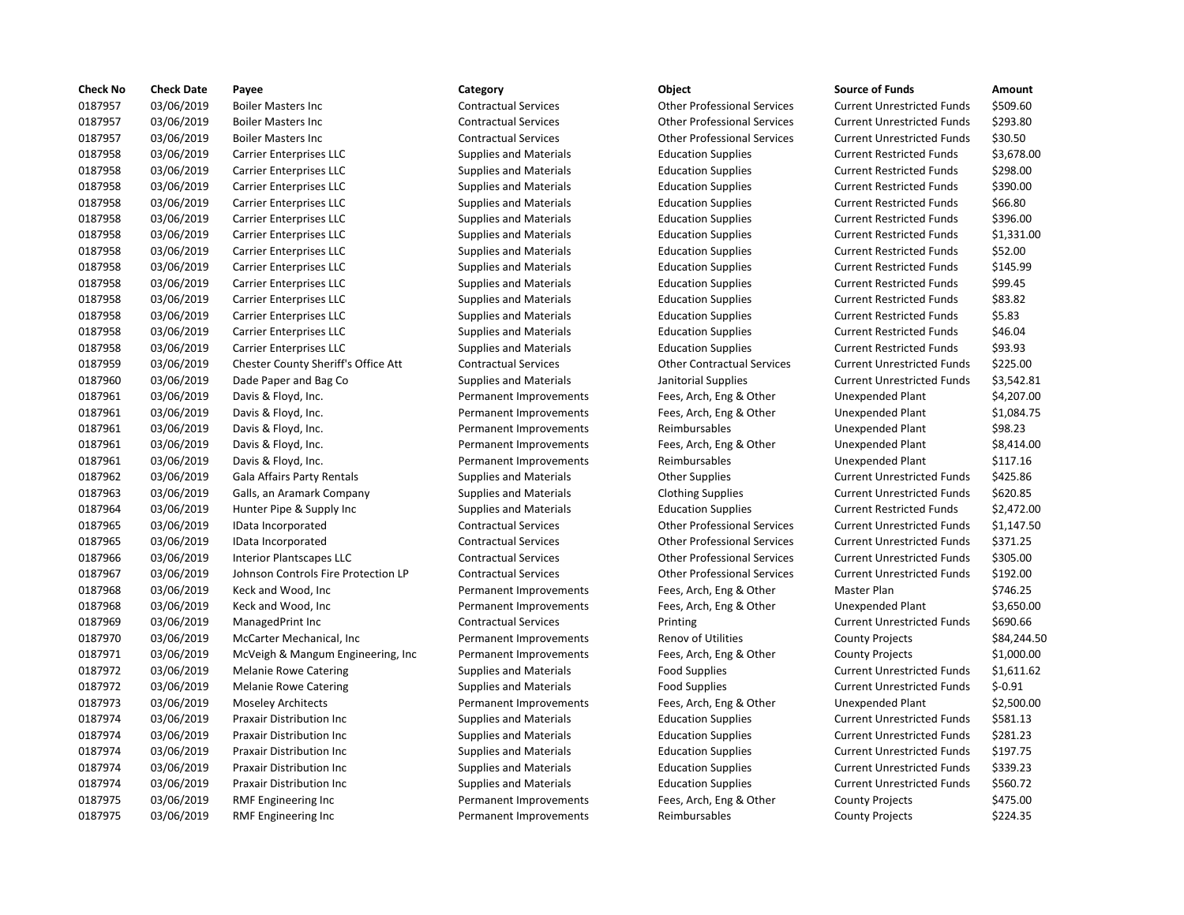| <b>Check No</b> | <b>Check Date</b> | Payee                               | Category                      | Object                             | <b>Source of Funds</b>            | Amount     |
|-----------------|-------------------|-------------------------------------|-------------------------------|------------------------------------|-----------------------------------|------------|
| 0187957         | 03/06/2019        | <b>Boiler Masters Inc</b>           | <b>Contractual Services</b>   | <b>Other Professional Services</b> | <b>Current Unrestricted Funds</b> | \$509.60   |
| 0187957         | 03/06/2019        | <b>Boiler Masters Inc</b>           | <b>Contractual Services</b>   | <b>Other Professional Services</b> | <b>Current Unrestricted Funds</b> | \$293.80   |
| 0187957         | 03/06/2019        | <b>Boiler Masters Inc</b>           | <b>Contractual Services</b>   | <b>Other Professional Services</b> | <b>Current Unrestricted Funds</b> | \$30.50    |
| 0187958         | 03/06/2019        | <b>Carrier Enterprises LLC</b>      | <b>Supplies and Materials</b> | <b>Education Supplies</b>          | <b>Current Restricted Funds</b>   | \$3,678.00 |
| 0187958         | 03/06/2019        | <b>Carrier Enterprises LLC</b>      | Supplies and Materials        | <b>Education Supplies</b>          | <b>Current Restricted Funds</b>   | \$298.00   |
| 0187958         | 03/06/2019        | <b>Carrier Enterprises LLC</b>      | <b>Supplies and Materials</b> | <b>Education Supplies</b>          | <b>Current Restricted Funds</b>   | \$390.00   |
| 0187958         | 03/06/2019        | <b>Carrier Enterprises LLC</b>      | <b>Supplies and Materials</b> | <b>Education Supplies</b>          | <b>Current Restricted Funds</b>   | \$66.80    |
| 0187958         | 03/06/2019        | Carrier Enterprises LLC             | <b>Supplies and Materials</b> | <b>Education Supplies</b>          | <b>Current Restricted Funds</b>   | \$396.00   |
| 0187958         | 03/06/2019        | <b>Carrier Enterprises LLC</b>      | <b>Supplies and Materials</b> | <b>Education Supplies</b>          | <b>Current Restricted Funds</b>   | \$1,331.00 |
| 0187958         | 03/06/2019        | <b>Carrier Enterprises LLC</b>      | <b>Supplies and Materials</b> | <b>Education Supplies</b>          | <b>Current Restricted Funds</b>   | \$52.00    |
| 0187958         | 03/06/2019        | <b>Carrier Enterprises LLC</b>      | <b>Supplies and Materials</b> | <b>Education Supplies</b>          | <b>Current Restricted Funds</b>   | \$145.99   |
| 0187958         | 03/06/2019        | <b>Carrier Enterprises LLC</b>      | <b>Supplies and Materials</b> | <b>Education Supplies</b>          | <b>Current Restricted Funds</b>   | \$99.45    |
| 0187958         | 03/06/2019        | Carrier Enterprises LLC             | <b>Supplies and Materials</b> | <b>Education Supplies</b>          | <b>Current Restricted Funds</b>   | \$83.82    |
| 0187958         | 03/06/2019        | <b>Carrier Enterprises LLC</b>      | <b>Supplies and Materials</b> | <b>Education Supplies</b>          | <b>Current Restricted Funds</b>   | \$5.83     |
| 0187958         | 03/06/2019        | <b>Carrier Enterprises LLC</b>      | <b>Supplies and Materials</b> | <b>Education Supplies</b>          | <b>Current Restricted Funds</b>   | \$46.04    |
| 0187958         | 03/06/2019        | <b>Carrier Enterprises LLC</b>      | <b>Supplies and Materials</b> | <b>Education Supplies</b>          | <b>Current Restricted Funds</b>   | \$93.93    |
| 0187959         | 03/06/2019        | Chester County Sheriff's Office Att | <b>Contractual Services</b>   | <b>Other Contractual Services</b>  | <b>Current Unrestricted Funds</b> | \$225.00   |
| 0187960         | 03/06/2019        | Dade Paper and Bag Co               | <b>Supplies and Materials</b> | Janitorial Supplies                | <b>Current Unrestricted Funds</b> | \$3,542.81 |
| 0187961         | 03/06/2019        | Davis & Floyd, Inc.                 | Permanent Improvements        | Fees, Arch, Eng & Other            | <b>Unexpended Plant</b>           | \$4,207.00 |
| 0187961         | 03/06/2019        | Davis & Floyd, Inc.                 | Permanent Improvements        | Fees, Arch, Eng & Other            | Unexpended Plant                  | \$1,084.75 |
| 0187961         | 03/06/2019        | Davis & Floyd, Inc.                 | Permanent Improvements        | Reimbursables                      | <b>Unexpended Plant</b>           | \$98.23    |
| 0187961         | 03/06/2019        | Davis & Floyd, Inc.                 | Permanent Improvements        | Fees, Arch, Eng & Other            | <b>Unexpended Plant</b>           | \$8,414.00 |
| 0187961         | 03/06/2019        | Davis & Floyd, Inc.                 | Permanent Improvements        | Reimbursables                      | <b>Unexpended Plant</b>           | \$117.16   |
| 0187962         | 03/06/2019        | Gala Affairs Party Rentals          | <b>Supplies and Materials</b> | <b>Other Supplies</b>              | <b>Current Unrestricted Funds</b> | \$425.86   |
| 0187963         | 03/06/2019        | Galls, an Aramark Company           | <b>Supplies and Materials</b> | <b>Clothing Supplies</b>           | <b>Current Unrestricted Funds</b> | \$620.85   |
| 0187964         | 03/06/2019        | Hunter Pipe & Supply Inc            | <b>Supplies and Materials</b> | <b>Education Supplies</b>          | <b>Current Restricted Funds</b>   | \$2,472.00 |
| 0187965         | 03/06/2019        | IData Incorporated                  | <b>Contractual Services</b>   | <b>Other Professional Services</b> | <b>Current Unrestricted Funds</b> | \$1,147.50 |
| 0187965         | 03/06/2019        | IData Incorporated                  | <b>Contractual Services</b>   | <b>Other Professional Services</b> | <b>Current Unrestricted Funds</b> | \$371.25   |
| 0187966         | 03/06/2019        | <b>Interior Plantscapes LLC</b>     | <b>Contractual Services</b>   | <b>Other Professional Services</b> | <b>Current Unrestricted Funds</b> | \$305.00   |
| 0187967         | 03/06/2019        | Johnson Controls Fire Protection LP | <b>Contractual Services</b>   | <b>Other Professional Services</b> | <b>Current Unrestricted Funds</b> | \$192.00   |
| 0187968         | 03/06/2019        | Keck and Wood, Inc                  | Permanent Improvements        | Fees, Arch, Eng & Other            | Master Plan                       | \$746.25   |
| 0187968         | 03/06/2019        | Keck and Wood, Inc                  | Permanent Improvements        | Fees, Arch, Eng & Other            | <b>Unexpended Plant</b>           | \$3,650.00 |
| 0187969         | 03/06/2019        | ManagedPrint Inc                    | <b>Contractual Services</b>   | Printing                           | <b>Current Unrestricted Funds</b> | \$690.66   |
| 0187970         | 03/06/2019        | McCarter Mechanical, Inc.           | Permanent Improvements        | <b>Renov of Utilities</b>          | <b>County Projects</b>            | \$84,244.5 |
| 0187971         | 03/06/2019        | McVeigh & Mangum Engineering, Inc.  | Permanent Improvements        | Fees, Arch, Eng & Other            | <b>County Projects</b>            | \$1,000.00 |
| 0187972         | 03/06/2019        | <b>Melanie Rowe Catering</b>        | <b>Supplies and Materials</b> | <b>Food Supplies</b>               | <b>Current Unrestricted Funds</b> | \$1,611.62 |
| 0187972         | 03/06/2019        | <b>Melanie Rowe Catering</b>        | <b>Supplies and Materials</b> | <b>Food Supplies</b>               | <b>Current Unrestricted Funds</b> | $$-0.91$   |
| 0187973         | 03/06/2019        | <b>Moseley Architects</b>           | Permanent Improvements        | Fees, Arch, Eng & Other            | <b>Unexpended Plant</b>           | \$2,500.00 |
| 0187974         | 03/06/2019        | Praxair Distribution Inc            | <b>Supplies and Materials</b> | <b>Education Supplies</b>          | <b>Current Unrestricted Funds</b> | \$581.13   |
| 0187974         | 03/06/2019        | <b>Praxair Distribution Inc</b>     | <b>Supplies and Materials</b> | <b>Education Supplies</b>          | <b>Current Unrestricted Funds</b> | \$281.23   |
| 0187974         | 03/06/2019        | <b>Praxair Distribution Inc</b>     | <b>Supplies and Materials</b> | <b>Education Supplies</b>          | <b>Current Unrestricted Funds</b> | \$197.75   |
| 0187974         | 03/06/2019        | <b>Praxair Distribution Inc</b>     | <b>Supplies and Materials</b> | <b>Education Supplies</b>          | <b>Current Unrestricted Funds</b> | \$339.23   |
| 0187974         | 03/06/2019        | <b>Praxair Distribution Inc</b>     | <b>Supplies and Materials</b> | <b>Education Supplies</b>          | <b>Current Unrestricted Funds</b> | \$560.72   |
| 0187975         | 03/06/2019        | RMF Engineering Inc                 | Permanent Improvements        | Fees, Arch, Eng & Other            | <b>County Projects</b>            | \$475.00   |
| 0187975         | 03/06/2019        | RMF Engineering Inc                 | Permanent Improvements        | Reimbursables                      | <b>County Projects</b>            | \$224.35   |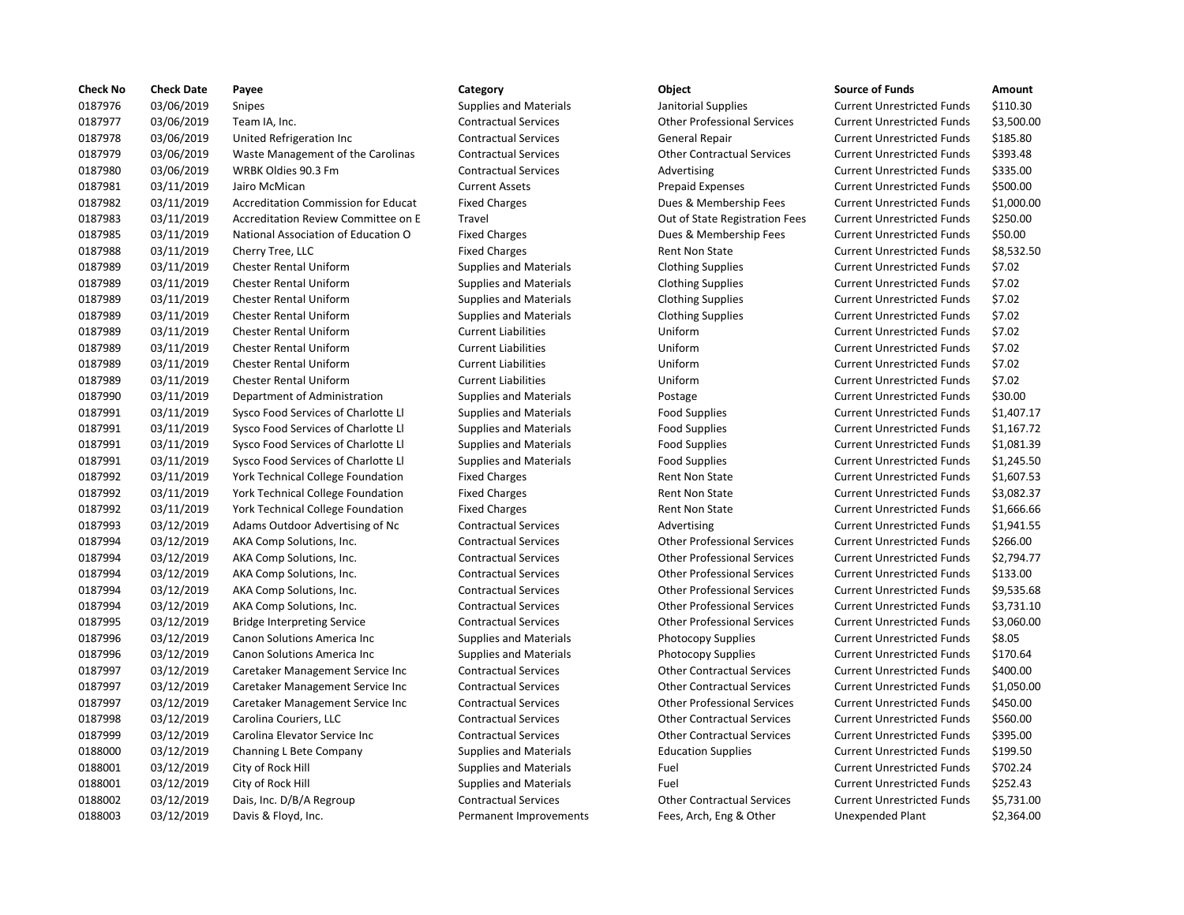| <b>Check No</b> | <b>Check Date</b> | Payee                                      | Category                      | Object                             | <b>Source of Funds</b>            | Amount    |
|-----------------|-------------------|--------------------------------------------|-------------------------------|------------------------------------|-----------------------------------|-----------|
| 0187976         | 03/06/2019        | Snipes                                     | Supplies and Materials        | Janitorial Supplies                | <b>Current Unrestricted Funds</b> | \$110.30  |
| 0187977         | 03/06/2019        | Team IA, Inc.                              | <b>Contractual Services</b>   | <b>Other Professional Services</b> | <b>Current Unrestricted Funds</b> | \$3,500.0 |
| 0187978         | 03/06/2019        | United Refrigeration Inc                   | <b>Contractual Services</b>   | <b>General Repair</b>              | <b>Current Unrestricted Funds</b> | \$185.80  |
| 0187979         | 03/06/2019        | Waste Management of the Carolinas          | <b>Contractual Services</b>   | <b>Other Contractual Services</b>  | <b>Current Unrestricted Funds</b> | \$393.48  |
| 0187980         | 03/06/2019        | WRBK Oldies 90.3 Fm                        | <b>Contractual Services</b>   | Advertising                        | <b>Current Unrestricted Funds</b> | \$335.00  |
| 0187981         | 03/11/2019        | Jairo McMican                              | <b>Current Assets</b>         | <b>Prepaid Expenses</b>            | <b>Current Unrestricted Funds</b> | \$500.00  |
| 0187982         | 03/11/2019        | <b>Accreditation Commission for Educat</b> | <b>Fixed Charges</b>          | Dues & Membership Fees             | <b>Current Unrestricted Funds</b> | \$1,000.0 |
| 0187983         | 03/11/2019        | Accreditation Review Committee on E        | Travel                        | Out of State Registration Fees     | <b>Current Unrestricted Funds</b> | \$250.00  |
| 0187985         | 03/11/2019        | National Association of Education O        | <b>Fixed Charges</b>          | Dues & Membership Fees             | <b>Current Unrestricted Funds</b> | \$50.00   |
| 0187988         | 03/11/2019        | Cherry Tree, LLC                           | <b>Fixed Charges</b>          | <b>Rent Non State</b>              | <b>Current Unrestricted Funds</b> | \$8,532.5 |
| 0187989         | 03/11/2019        | Chester Rental Uniform                     | <b>Supplies and Materials</b> | <b>Clothing Supplies</b>           | <b>Current Unrestricted Funds</b> | \$7.02    |
| 0187989         | 03/11/2019        | <b>Chester Rental Uniform</b>              | Supplies and Materials        | <b>Clothing Supplies</b>           | <b>Current Unrestricted Funds</b> | \$7.02    |
| 0187989         | 03/11/2019        | Chester Rental Uniform                     | <b>Supplies and Materials</b> | <b>Clothing Supplies</b>           | <b>Current Unrestricted Funds</b> | \$7.02    |
| 0187989         | 03/11/2019        | <b>Chester Rental Uniform</b>              | <b>Supplies and Materials</b> | <b>Clothing Supplies</b>           | <b>Current Unrestricted Funds</b> | \$7.02    |
| 0187989         | 03/11/2019        | <b>Chester Rental Uniform</b>              | <b>Current Liabilities</b>    | Uniform                            | <b>Current Unrestricted Funds</b> | \$7.02    |
| 0187989         | 03/11/2019        | Chester Rental Uniform                     | <b>Current Liabilities</b>    | Uniform                            | <b>Current Unrestricted Funds</b> | \$7.02    |
| 0187989         | 03/11/2019        | <b>Chester Rental Uniform</b>              | <b>Current Liabilities</b>    | Uniform                            | <b>Current Unrestricted Funds</b> | \$7.02    |
| 0187989         | 03/11/2019        | <b>Chester Rental Uniform</b>              | <b>Current Liabilities</b>    | Uniform                            | <b>Current Unrestricted Funds</b> | \$7.02    |
| 0187990         | 03/11/2019        | Department of Administration               | <b>Supplies and Materials</b> | Postage                            | <b>Current Unrestricted Funds</b> | \$30.00   |
| 0187991         | 03/11/2019        | Sysco Food Services of Charlotte Ll        | <b>Supplies and Materials</b> | <b>Food Supplies</b>               | <b>Current Unrestricted Funds</b> | \$1,407.1 |
| 0187991         | 03/11/2019        | Sysco Food Services of Charlotte Ll        | <b>Supplies and Materials</b> | Food Supplies                      | <b>Current Unrestricted Funds</b> | \$1,167.7 |
| 0187991         | 03/11/2019        | Sysco Food Services of Charlotte Ll        | <b>Supplies and Materials</b> | <b>Food Supplies</b>               | <b>Current Unrestricted Funds</b> | \$1,081.3 |
| 0187991         | 03/11/2019        | Sysco Food Services of Charlotte Ll        | <b>Supplies and Materials</b> | Food Supplies                      | <b>Current Unrestricted Funds</b> | \$1,245.5 |
| 0187992         | 03/11/2019        | York Technical College Foundation          | <b>Fixed Charges</b>          | <b>Rent Non State</b>              | <b>Current Unrestricted Funds</b> | \$1,607.5 |
| 0187992         | 03/11/2019        | York Technical College Foundation          | <b>Fixed Charges</b>          | Rent Non State                     | <b>Current Unrestricted Funds</b> | \$3,082.3 |
| 0187992         | 03/11/2019        | York Technical College Foundation          | <b>Fixed Charges</b>          | Rent Non State                     | <b>Current Unrestricted Funds</b> | \$1,666.6 |
| 0187993         | 03/12/2019        | Adams Outdoor Advertising of Nc            | <b>Contractual Services</b>   | Advertising                        | <b>Current Unrestricted Funds</b> | \$1,941.5 |
| 0187994         | 03/12/2019        | AKA Comp Solutions, Inc.                   | <b>Contractual Services</b>   | <b>Other Professional Services</b> | <b>Current Unrestricted Funds</b> | \$266.00  |
| 0187994         | 03/12/2019        | AKA Comp Solutions, Inc.                   | <b>Contractual Services</b>   | <b>Other Professional Services</b> | <b>Current Unrestricted Funds</b> | \$2,794.7 |
| 0187994         | 03/12/2019        | AKA Comp Solutions, Inc.                   | <b>Contractual Services</b>   | <b>Other Professional Services</b> | <b>Current Unrestricted Funds</b> | \$133.00  |
| 0187994         | 03/12/2019        | AKA Comp Solutions, Inc.                   | <b>Contractual Services</b>   | <b>Other Professional Services</b> | <b>Current Unrestricted Funds</b> | \$9,535.6 |
| 0187994         | 03/12/2019        | AKA Comp Solutions, Inc.                   | <b>Contractual Services</b>   | <b>Other Professional Services</b> | <b>Current Unrestricted Funds</b> | \$3,731.1 |
| 0187995         | 03/12/2019        | <b>Bridge Interpreting Service</b>         | <b>Contractual Services</b>   | <b>Other Professional Services</b> | <b>Current Unrestricted Funds</b> | \$3,060.0 |
| 0187996         | 03/12/2019        | Canon Solutions America Inc                | <b>Supplies and Materials</b> | Photocopy Supplies                 | <b>Current Unrestricted Funds</b> | \$8.05    |
| 0187996         | 03/12/2019        | Canon Solutions America Inc                | <b>Supplies and Materials</b> | Photocopy Supplies                 | <b>Current Unrestricted Funds</b> | \$170.64  |
| 0187997         | 03/12/2019        | Caretaker Management Service Inc           | <b>Contractual Services</b>   | <b>Other Contractual Services</b>  | <b>Current Unrestricted Funds</b> | \$400.00  |
| 0187997         | 03/12/2019        | Caretaker Management Service Inc           | <b>Contractual Services</b>   | <b>Other Contractual Services</b>  | <b>Current Unrestricted Funds</b> | \$1,050.0 |
| 0187997         | 03/12/2019        | Caretaker Management Service Inc           | <b>Contractual Services</b>   | <b>Other Professional Services</b> | <b>Current Unrestricted Funds</b> | \$450.00  |
| 0187998         | 03/12/2019        | Carolina Couriers, LLC                     | <b>Contractual Services</b>   | <b>Other Contractual Services</b>  | <b>Current Unrestricted Funds</b> | \$560.00  |
| 0187999         | 03/12/2019        | Carolina Elevator Service Inc              | <b>Contractual Services</b>   | <b>Other Contractual Services</b>  | <b>Current Unrestricted Funds</b> | \$395.00  |
| 0188000         | 03/12/2019        | Channing L Bete Company                    | <b>Supplies and Materials</b> | <b>Education Supplies</b>          | <b>Current Unrestricted Funds</b> | \$199.50  |
| 0188001         | 03/12/2019        | City of Rock Hill                          | <b>Supplies and Materials</b> | Fuel                               | <b>Current Unrestricted Funds</b> | \$702.24  |
| 0188001         | 03/12/2019        | City of Rock Hill                          | <b>Supplies and Materials</b> | Fuel                               | <b>Current Unrestricted Funds</b> | \$252.43  |
| 0188002         | 03/12/2019        | Dais, Inc. D/B/A Regroup                   | <b>Contractual Services</b>   | <b>Other Contractual Services</b>  | <b>Current Unrestricted Funds</b> | \$5,731.0 |
| 0188003         | 03/12/2019        | Davis & Floyd, Inc.                        | Permanent Improvements        | Fees, Arch, Eng & Other            | <b>Unexpended Plant</b>           | \$2,364.0 |
|                 |                   |                                            |                               |                                    |                                   |           |

# Permanent Improvements Fees, Arch, Eng & Other Unexpended Plant \$2,364.00

# 03/06/2019 Snipes Supplies and Materials Janitorial Supplies Current Unrestricted Funds \$110.30 03/06/2019 Team IA, Inc. Contractual Services Other Professional Services Current Unrestricted Funds \$3,500.00 03/06/2019 United Refrigeration Inc Contractual Services General Repair Current Unrestricted Funds \$185.80 03/06/2019 Waste Management of the Carolinas Contractual Services Other Contractual Services Current Unrestricted Funds \$393.48 Contractual Services **237.00** Advertising Current Unrestricted Funds \$335.00 Current Assets **12018 12019 Current Assets** Prepaid Expenses Current Unrestricted Funds \$500.00 Fixed Charges **21,000.00** Dues & Membership Fees Current Unrestricted Funds \$1,000.00 Travel **Accreditation Committee on Committee on Committee on E Travel Committee on Current Unrestricted Funds** \$250.00 Fixed Charges The Charges Current Unrestricted Funds \$50.00 Fixed Charges **1278 12019 Controller Fixed Current Unrestricted Funds** 58,532.50 Supplies and Materials **Clothing Supplies** Current Unrestricted Funds \$7.02 Supplies and Materials **Clothing Supplies** Current Unrestricted Funds \$7.02 03/11/2019 Chester Rental Uniform Supplies and Materials Clothing Supplies Current Unrestricted Funds \$7.02 03/11/2019 Chester Rental Uniform Supplies and Materials Clothing Supplies Current Unrestricted Funds \$7.02 03/11/2019 Chester Rental Uniform Current Liabilities Uniform Current Unrestricted Funds \$7.02 03/11/2019 Chester Rental Uniform Current Liabilities Uniform Current Unrestricted Funds \$7.02 03/11/2019 Chester Rental Uniform Current Liabilities Uniform Current Unrestricted Funds \$7.02 03/11/2019 Chester Rental Uniform Current Liabilities Uniform Current Unrestricted Funds \$7.02 03/11/2019 Department of Administration Supplies and Materials Postage Current Unrestricted Funds \$30.00 03/11/2019 Sysco Food Services of Charlotte Ll Supplies and Materials Food Supplies Current Unrestricted Funds \$1,407.17 03/11/2019 Sysco Food Services of Charlotte Ll Supplies and Materials Food Supplies Current Unrestricted Funds \$1,167.72 03/11/2019 Sysco Food Services of Charlotte Ll Supplies and Materials Food Supplies Current Unrestricted Funds \$1,081.39 03/11/2019 Sysco Food Services of Charlotte Ll Supplies and Materials Food Supplies Current Unrestricted Funds \$1,245.50 Fixed Charges Technical College Rent Non State Current Unrestricted Funds \$1,607.53 Fixed Charges Technical College Foundation Fixed Current Unrestricted Funds \$3,082.37 Fixed Charges **1,666.66** Rent Non State **Current Unrestricted Funds** \$1,666.66 Ontractual Services **Contractual Services** Advertising Current Unrestricted Funds \$1,941.55 03/12/2019 AKA Comp Solutions, Inc. Contractual Services Other Professional Services Current Unrestricted Funds \$266.00 03/12/2019 AKA Comp Solutions, Inc. Contractual Services Other Professional Services Current Unrestricted Funds \$2,794.77 03/12/2019 AKA Comp Solutions, Inc. Contractual Services Other Professional Services Current Unrestricted Funds \$133.00 03/12/2019 AKA Comp Solutions, Inc. Contractual Services Other Professional Services Current Unrestricted Funds \$9,535.68 03/12/2019 AKA Comp Solutions, Inc. Contractual Services Other Professional Services Current Unrestricted Funds \$3,731.10 03/12/2019 Bridge Interpreting Service Contractual Services Other Professional Services Current Unrestricted Funds \$3,060.00 03/12/2019 Canon Solutions America Inc Supplies and Materials Photocopy Supplies Current Unrestricted Funds \$8.05 Supplies and Materials **Example 2018** Photocopy Supplies Current Unrestricted Funds \$170.64 Contractual Services **Careta Contractual Services** Current Unrestricted Funds \$400.00 03/12/2019 Caretaker Management Service Inc Contractual Services Other Contractual Services Current Unrestricted Funds \$1,050.00 03/12/2019 Caretaker Management Service Inc Contractual Services Other Professional Services Current Unrestricted Funds \$450.00 03/12/2019 Carolina Couriers, LLC Contractual Services Other Contractual Services Current Unrestricted Funds \$560.00 03/12/2019 Carolina Elevator Service Inc Contractual Services Other Contractual Services Current Unrestricted Funds \$395.00 03/12/2019 Channing L Bete Company Supplies and Materials Education Supplies Current Unrestricted Funds \$199.50 03/12/2019 City of Rock Hill Supplies and Materials Fuel Current Unrestricted Funds \$702.24 Supplies and Materials **Fuel Fuel Current Unrestricted Funds** 5252.43 03/12/2019 Dais, Inc. D/B/A Regroup Contractual Services Other Contractual Services Current Unrestricted Funds \$5,731.00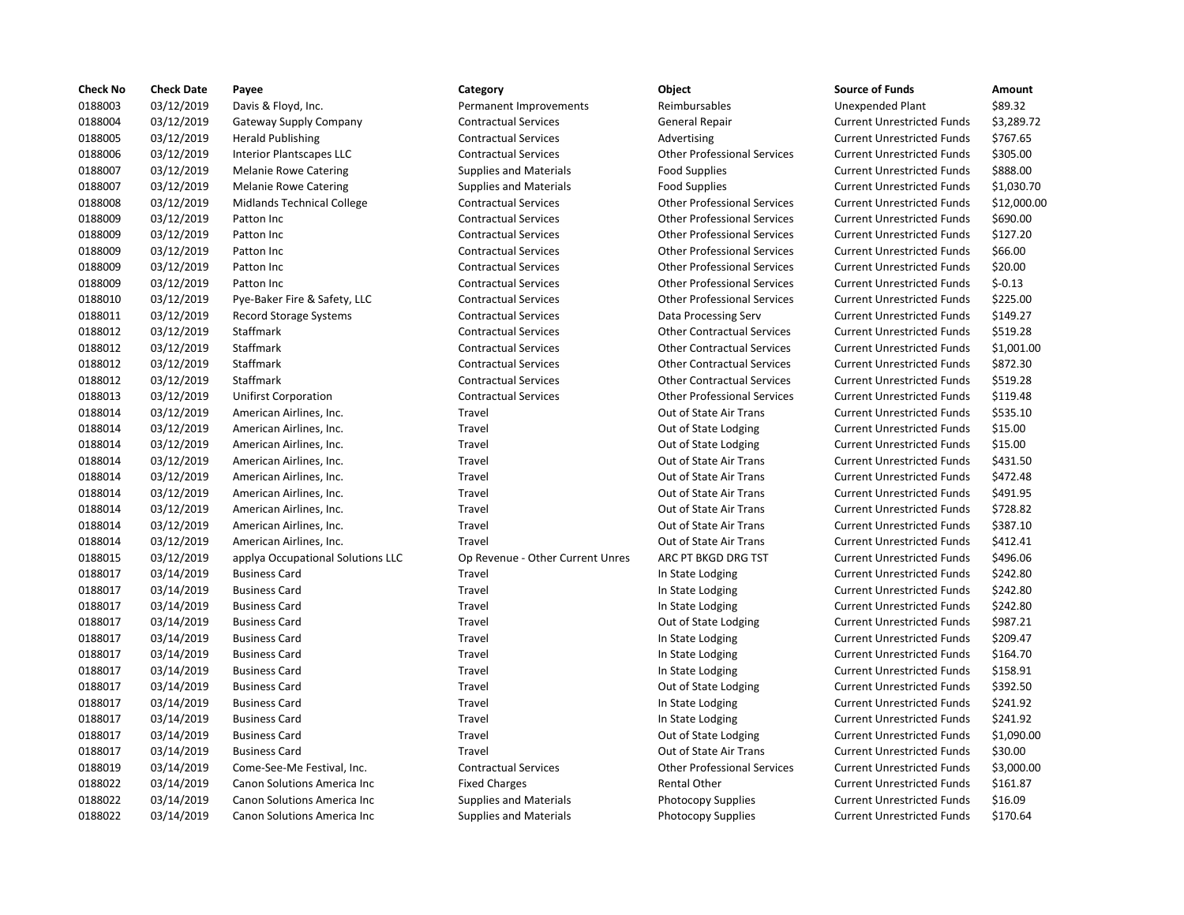| 0188003<br>\$89.32<br>03/12/2019<br>Davis & Floyd, Inc.<br>Permanent Improvements<br>Reimbursables<br><b>Unexpended Plant</b><br>0188004<br>03/12/2019<br>\$3,289.72<br><b>Gateway Supply Company</b><br><b>Contractual Services</b><br>General Repair<br><b>Current Unrestricted Funds</b><br>0188005<br>03/12/2019<br><b>Herald Publishing</b><br><b>Contractual Services</b><br><b>Current Unrestricted Funds</b><br>\$767.65<br>Advertising<br>0188006<br>03/12/2019<br>\$305.00<br><b>Interior Plantscapes LLC</b><br><b>Contractual Services</b><br><b>Other Professional Services</b><br><b>Current Unrestricted Funds</b><br>0188007<br>03/12/2019<br>\$888.00<br><b>Melanie Rowe Catering</b><br>Supplies and Materials<br><b>Food Supplies</b><br><b>Current Unrestricted Funds</b><br>0188007<br>03/12/2019<br>\$1,030.70<br><b>Melanie Rowe Catering</b><br><b>Supplies and Materials</b><br><b>Food Supplies</b><br><b>Current Unrestricted Funds</b><br>0188008<br>03/12/2019<br>\$12,000.00<br><b>Midlands Technical College</b><br><b>Contractual Services</b><br><b>Other Professional Services</b><br><b>Current Unrestricted Funds</b><br>0188009<br>03/12/2019<br><b>Contractual Services</b><br><b>Other Professional Services</b><br><b>Current Unrestricted Funds</b><br>\$690.00<br>Patton Inc<br>0188009<br>03/12/2019<br><b>Contractual Services</b><br><b>Other Professional Services</b><br>\$127.20<br>Patton Inc<br><b>Current Unrestricted Funds</b><br>0188009<br>03/12/2019<br>\$66.00<br>Patton Inc<br><b>Contractual Services</b><br><b>Other Professional Services</b><br><b>Current Unrestricted Funds</b><br>0188009<br>03/12/2019<br>\$20.00<br>Patton Inc<br><b>Contractual Services</b><br><b>Other Professional Services</b><br><b>Current Unrestricted Funds</b><br>0188009<br>03/12/2019<br>$$-0.13$<br>Patton Inc<br><b>Contractual Services</b><br><b>Other Professional Services</b><br><b>Current Unrestricted Funds</b><br>0188010<br>03/12/2019<br>Pye-Baker Fire & Safety, LLC<br><b>Contractual Services</b><br><b>Other Professional Services</b><br><b>Current Unrestricted Funds</b><br>\$225.00<br>0188011<br>03/12/2019<br><b>Contractual Services</b><br><b>Current Unrestricted Funds</b><br>\$149.27<br><b>Record Storage Systems</b><br>Data Processing Serv<br>0188012<br>03/12/2019<br>\$519.28<br>Staffmark<br><b>Contractual Services</b><br><b>Other Contractual Services</b><br><b>Current Unrestricted Funds</b><br>0188012<br>03/12/2019<br>Staffmark<br>\$1,001.00<br><b>Contractual Services</b><br><b>Other Contractual Services</b><br><b>Current Unrestricted Funds</b><br>0188012<br>03/12/2019<br>Staffmark<br><b>Contractual Services</b><br><b>Other Contractual Services</b><br>\$872.30<br><b>Current Unrestricted Funds</b><br>0188012<br>03/12/2019<br>Staffmark<br><b>Contractual Services</b><br><b>Other Contractual Services</b><br><b>Current Unrestricted Funds</b><br>\$519.28<br>0188013<br>03/12/2019<br><b>Other Professional Services</b><br>\$119.48<br><b>Unifirst Corporation</b><br><b>Contractual Services</b><br><b>Current Unrestricted Funds</b><br>0188014<br>03/12/2019<br>\$535.10<br>American Airlines, Inc.<br>Travel<br>Out of State Air Trans<br><b>Current Unrestricted Funds</b><br>0188014<br>03/12/2019<br>Out of State Lodging<br>\$15.00<br>American Airlines, Inc.<br>Travel<br><b>Current Unrestricted Funds</b><br>0188014<br>03/12/2019<br>Out of State Lodging<br><b>Current Unrestricted Funds</b><br>\$15.00<br>American Airlines, Inc.<br>Travel<br>0188014<br>03/12/2019<br>Out of State Air Trans<br>\$431.50<br>American Airlines, Inc.<br>Travel<br><b>Current Unrestricted Funds</b><br>0188014<br>03/12/2019<br>Out of State Air Trans<br>\$472.48<br>American Airlines, Inc.<br>Travel<br><b>Current Unrestricted Funds</b><br>0188014<br>03/12/2019<br>American Airlines, Inc.<br>Travel<br>Out of State Air Trans<br><b>Current Unrestricted Funds</b><br>\$491.95<br>0188014<br>03/12/2019<br>Out of State Air Trans<br><b>Current Unrestricted Funds</b><br>\$728.82<br>American Airlines, Inc.<br>Travel<br>0188014<br>03/12/2019<br>Out of State Air Trans<br>\$387.10<br>American Airlines, Inc.<br>Travel<br><b>Current Unrestricted Funds</b><br>0188014<br>03/12/2019<br>Out of State Air Trans<br>\$412.41<br>American Airlines, Inc.<br>Travel<br><b>Current Unrestricted Funds</b><br>0188015<br>03/12/2019<br>applya Occupational Solutions LLC<br>Op Revenue - Other Current Unres<br>ARC PT BKGD DRG TST<br><b>Current Unrestricted Funds</b><br>\$496.06<br>0188017<br>03/14/2019<br>Travel<br><b>Current Unrestricted Funds</b><br>\$242.80<br><b>Business Card</b><br>In State Lodging<br>0188017<br>03/14/2019<br>\$242.80<br><b>Business Card</b><br>Travel<br>In State Lodging<br><b>Current Unrestricted Funds</b><br>0188017<br>\$242.80<br>03/14/2019<br><b>Business Card</b><br>Travel<br>In State Lodging<br><b>Current Unrestricted Funds</b><br>0188017<br>03/14/2019<br><b>Business Card</b><br>Travel<br>Out of State Lodging<br><b>Current Unrestricted Funds</b><br>\$987.21<br>0188017<br>\$209.47<br>03/14/2019<br><b>Business Card</b><br>Travel<br><b>Current Unrestricted Funds</b><br>In State Lodging<br>0188017<br>03/14/2019<br><b>Business Card</b><br>Travel<br>In State Lodging<br><b>Current Unrestricted Funds</b><br>\$164.70<br>0188017<br>03/14/2019<br>\$158.91<br><b>Business Card</b><br>Travel<br>In State Lodging<br><b>Current Unrestricted Funds</b><br>0188017<br>03/14/2019<br><b>Business Card</b><br>Travel<br>Out of State Lodging<br><b>Current Unrestricted Funds</b><br>\$392.50<br>0188017<br>\$241.92<br>03/14/2019<br>Travel<br><b>Current Unrestricted Funds</b><br><b>Business Card</b><br>In State Lodging<br>0188017<br>03/14/2019<br><b>Business Card</b><br>Travel<br>In State Lodging<br><b>Current Unrestricted Funds</b><br>\$241.92<br>0188017<br>03/14/2019<br>Out of State Lodging<br><b>Current Unrestricted Funds</b><br>\$1,090.00<br><b>Business Card</b><br>Travel<br>0188017<br>\$30.00<br>03/14/2019<br><b>Business Card</b><br>Travel<br>Out of State Air Trans<br><b>Current Unrestricted Funds</b><br>0188019<br><b>Other Professional Services</b><br>\$3,000.00<br>03/14/2019<br><b>Contractual Services</b><br><b>Current Unrestricted Funds</b><br>Come-See-Me Festival, Inc.<br>0188022<br>03/14/2019<br>Canon Solutions America Inc<br><b>Fixed Charges</b><br>Rental Other<br><b>Current Unrestricted Funds</b><br>\$161.87<br>0188022<br>\$16.09<br>03/14/2019<br><b>Canon Solutions America Inc.</b><br><b>Supplies and Materials</b><br><b>Current Unrestricted Funds</b><br><b>Photocopy Supplies</b> | <b>Check No</b> | <b>Check Date</b> | Payee                       | Category                      | Object                    | <b>Source of Funds</b>            | Amount   |
|---------------------------------------------------------------------------------------------------------------------------------------------------------------------------------------------------------------------------------------------------------------------------------------------------------------------------------------------------------------------------------------------------------------------------------------------------------------------------------------------------------------------------------------------------------------------------------------------------------------------------------------------------------------------------------------------------------------------------------------------------------------------------------------------------------------------------------------------------------------------------------------------------------------------------------------------------------------------------------------------------------------------------------------------------------------------------------------------------------------------------------------------------------------------------------------------------------------------------------------------------------------------------------------------------------------------------------------------------------------------------------------------------------------------------------------------------------------------------------------------------------------------------------------------------------------------------------------------------------------------------------------------------------------------------------------------------------------------------------------------------------------------------------------------------------------------------------------------------------------------------------------------------------------------------------------------------------------------------------------------------------------------------------------------------------------------------------------------------------------------------------------------------------------------------------------------------------------------------------------------------------------------------------------------------------------------------------------------------------------------------------------------------------------------------------------------------------------------------------------------------------------------------------------------------------------------------------------------------------------------------------------------------------------------------------------------------------------------------------------------------------------------------------------------------------------------------------------------------------------------------------------------------------------------------------------------------------------------------------------------------------------------------------------------------------------------------------------------------------------------------------------------------------------------------------------------------------------------------------------------------------------------------------------------------------------------------------------------------------------------------------------------------------------------------------------------------------------------------------------------------------------------------------------------------------------------------------------------------------------------------------------------------------------------------------------------------------------------------------------------------------------------------------------------------------------------------------------------------------------------------------------------------------------------------------------------------------------------------------------------------------------------------------------------------------------------------------------------------------------------------------------------------------------------------------------------------------------------------------------------------------------------------------------------------------------------------------------------------------------------------------------------------------------------------------------------------------------------------------------------------------------------------------------------------------------------------------------------------------------------------------------------------------------------------------------------------------------------------------------------------------------------------------------------------------------------------------------------------------------------------------------------------------------------------------------------------------------------------------------------------------------------------------------------------------------------------------------------------------------------------------------------------------------------------------------------------------------------------------------------------------------------------------------------------------------------------------------------------------------------------------------------------------------------------------------------------------------------------------------------------------------------------------------------------------------------------------------------------------------------------------------------------------------------------------------------------------------------------------------------------------------------------------------------------------------------------------------------------------------------------------------------------------------------------------------------------------------------------------------------------------------------------------------------------------------------------------------------------------------------------------------------------------------------------------------------------------------------------------------------------------------------------------------------------------------------------------------------------------------------------------------------------------------------------------------------------------------------------------------------------------------------------------------------------------------------------------------------------------------------------------------------------------------------------------------------------------------------------------------------|-----------------|-------------------|-----------------------------|-------------------------------|---------------------------|-----------------------------------|----------|
|                                                                                                                                                                                                                                                                                                                                                                                                                                                                                                                                                                                                                                                                                                                                                                                                                                                                                                                                                                                                                                                                                                                                                                                                                                                                                                                                                                                                                                                                                                                                                                                                                                                                                                                                                                                                                                                                                                                                                                                                                                                                                                                                                                                                                                                                                                                                                                                                                                                                                                                                                                                                                                                                                                                                                                                                                                                                                                                                                                                                                                                                                                                                                                                                                                                                                                                                                                                                                                                                                                                                                                                                                                                                                                                                                                                                                                                                                                                                                                                                                                                                                                                                                                                                                                                                                                                                                                                                                                                                                                                                                                                                                                                                                                                                                                                                                                                                                                                                                                                                                                                                                                                                                                                                                                                                                                                                                                                                                                                                                                                                                                                                                                                                                                                                                                                                                                                                                                                                                                                                                                                                                                                                                                                                                                                                                                                                                                                                                                                                                                                                                                                                                                                                                                                                             |                 |                   |                             |                               |                           |                                   |          |
|                                                                                                                                                                                                                                                                                                                                                                                                                                                                                                                                                                                                                                                                                                                                                                                                                                                                                                                                                                                                                                                                                                                                                                                                                                                                                                                                                                                                                                                                                                                                                                                                                                                                                                                                                                                                                                                                                                                                                                                                                                                                                                                                                                                                                                                                                                                                                                                                                                                                                                                                                                                                                                                                                                                                                                                                                                                                                                                                                                                                                                                                                                                                                                                                                                                                                                                                                                                                                                                                                                                                                                                                                                                                                                                                                                                                                                                                                                                                                                                                                                                                                                                                                                                                                                                                                                                                                                                                                                                                                                                                                                                                                                                                                                                                                                                                                                                                                                                                                                                                                                                                                                                                                                                                                                                                                                                                                                                                                                                                                                                                                                                                                                                                                                                                                                                                                                                                                                                                                                                                                                                                                                                                                                                                                                                                                                                                                                                                                                                                                                                                                                                                                                                                                                                                             |                 |                   |                             |                               |                           |                                   |          |
|                                                                                                                                                                                                                                                                                                                                                                                                                                                                                                                                                                                                                                                                                                                                                                                                                                                                                                                                                                                                                                                                                                                                                                                                                                                                                                                                                                                                                                                                                                                                                                                                                                                                                                                                                                                                                                                                                                                                                                                                                                                                                                                                                                                                                                                                                                                                                                                                                                                                                                                                                                                                                                                                                                                                                                                                                                                                                                                                                                                                                                                                                                                                                                                                                                                                                                                                                                                                                                                                                                                                                                                                                                                                                                                                                                                                                                                                                                                                                                                                                                                                                                                                                                                                                                                                                                                                                                                                                                                                                                                                                                                                                                                                                                                                                                                                                                                                                                                                                                                                                                                                                                                                                                                                                                                                                                                                                                                                                                                                                                                                                                                                                                                                                                                                                                                                                                                                                                                                                                                                                                                                                                                                                                                                                                                                                                                                                                                                                                                                                                                                                                                                                                                                                                                                             |                 |                   |                             |                               |                           |                                   |          |
|                                                                                                                                                                                                                                                                                                                                                                                                                                                                                                                                                                                                                                                                                                                                                                                                                                                                                                                                                                                                                                                                                                                                                                                                                                                                                                                                                                                                                                                                                                                                                                                                                                                                                                                                                                                                                                                                                                                                                                                                                                                                                                                                                                                                                                                                                                                                                                                                                                                                                                                                                                                                                                                                                                                                                                                                                                                                                                                                                                                                                                                                                                                                                                                                                                                                                                                                                                                                                                                                                                                                                                                                                                                                                                                                                                                                                                                                                                                                                                                                                                                                                                                                                                                                                                                                                                                                                                                                                                                                                                                                                                                                                                                                                                                                                                                                                                                                                                                                                                                                                                                                                                                                                                                                                                                                                                                                                                                                                                                                                                                                                                                                                                                                                                                                                                                                                                                                                                                                                                                                                                                                                                                                                                                                                                                                                                                                                                                                                                                                                                                                                                                                                                                                                                                                             |                 |                   |                             |                               |                           |                                   |          |
|                                                                                                                                                                                                                                                                                                                                                                                                                                                                                                                                                                                                                                                                                                                                                                                                                                                                                                                                                                                                                                                                                                                                                                                                                                                                                                                                                                                                                                                                                                                                                                                                                                                                                                                                                                                                                                                                                                                                                                                                                                                                                                                                                                                                                                                                                                                                                                                                                                                                                                                                                                                                                                                                                                                                                                                                                                                                                                                                                                                                                                                                                                                                                                                                                                                                                                                                                                                                                                                                                                                                                                                                                                                                                                                                                                                                                                                                                                                                                                                                                                                                                                                                                                                                                                                                                                                                                                                                                                                                                                                                                                                                                                                                                                                                                                                                                                                                                                                                                                                                                                                                                                                                                                                                                                                                                                                                                                                                                                                                                                                                                                                                                                                                                                                                                                                                                                                                                                                                                                                                                                                                                                                                                                                                                                                                                                                                                                                                                                                                                                                                                                                                                                                                                                                                             |                 |                   |                             |                               |                           |                                   |          |
|                                                                                                                                                                                                                                                                                                                                                                                                                                                                                                                                                                                                                                                                                                                                                                                                                                                                                                                                                                                                                                                                                                                                                                                                                                                                                                                                                                                                                                                                                                                                                                                                                                                                                                                                                                                                                                                                                                                                                                                                                                                                                                                                                                                                                                                                                                                                                                                                                                                                                                                                                                                                                                                                                                                                                                                                                                                                                                                                                                                                                                                                                                                                                                                                                                                                                                                                                                                                                                                                                                                                                                                                                                                                                                                                                                                                                                                                                                                                                                                                                                                                                                                                                                                                                                                                                                                                                                                                                                                                                                                                                                                                                                                                                                                                                                                                                                                                                                                                                                                                                                                                                                                                                                                                                                                                                                                                                                                                                                                                                                                                                                                                                                                                                                                                                                                                                                                                                                                                                                                                                                                                                                                                                                                                                                                                                                                                                                                                                                                                                                                                                                                                                                                                                                                                             |                 |                   |                             |                               |                           |                                   |          |
|                                                                                                                                                                                                                                                                                                                                                                                                                                                                                                                                                                                                                                                                                                                                                                                                                                                                                                                                                                                                                                                                                                                                                                                                                                                                                                                                                                                                                                                                                                                                                                                                                                                                                                                                                                                                                                                                                                                                                                                                                                                                                                                                                                                                                                                                                                                                                                                                                                                                                                                                                                                                                                                                                                                                                                                                                                                                                                                                                                                                                                                                                                                                                                                                                                                                                                                                                                                                                                                                                                                                                                                                                                                                                                                                                                                                                                                                                                                                                                                                                                                                                                                                                                                                                                                                                                                                                                                                                                                                                                                                                                                                                                                                                                                                                                                                                                                                                                                                                                                                                                                                                                                                                                                                                                                                                                                                                                                                                                                                                                                                                                                                                                                                                                                                                                                                                                                                                                                                                                                                                                                                                                                                                                                                                                                                                                                                                                                                                                                                                                                                                                                                                                                                                                                                             |                 |                   |                             |                               |                           |                                   |          |
|                                                                                                                                                                                                                                                                                                                                                                                                                                                                                                                                                                                                                                                                                                                                                                                                                                                                                                                                                                                                                                                                                                                                                                                                                                                                                                                                                                                                                                                                                                                                                                                                                                                                                                                                                                                                                                                                                                                                                                                                                                                                                                                                                                                                                                                                                                                                                                                                                                                                                                                                                                                                                                                                                                                                                                                                                                                                                                                                                                                                                                                                                                                                                                                                                                                                                                                                                                                                                                                                                                                                                                                                                                                                                                                                                                                                                                                                                                                                                                                                                                                                                                                                                                                                                                                                                                                                                                                                                                                                                                                                                                                                                                                                                                                                                                                                                                                                                                                                                                                                                                                                                                                                                                                                                                                                                                                                                                                                                                                                                                                                                                                                                                                                                                                                                                                                                                                                                                                                                                                                                                                                                                                                                                                                                                                                                                                                                                                                                                                                                                                                                                                                                                                                                                                                             |                 |                   |                             |                               |                           |                                   |          |
|                                                                                                                                                                                                                                                                                                                                                                                                                                                                                                                                                                                                                                                                                                                                                                                                                                                                                                                                                                                                                                                                                                                                                                                                                                                                                                                                                                                                                                                                                                                                                                                                                                                                                                                                                                                                                                                                                                                                                                                                                                                                                                                                                                                                                                                                                                                                                                                                                                                                                                                                                                                                                                                                                                                                                                                                                                                                                                                                                                                                                                                                                                                                                                                                                                                                                                                                                                                                                                                                                                                                                                                                                                                                                                                                                                                                                                                                                                                                                                                                                                                                                                                                                                                                                                                                                                                                                                                                                                                                                                                                                                                                                                                                                                                                                                                                                                                                                                                                                                                                                                                                                                                                                                                                                                                                                                                                                                                                                                                                                                                                                                                                                                                                                                                                                                                                                                                                                                                                                                                                                                                                                                                                                                                                                                                                                                                                                                                                                                                                                                                                                                                                                                                                                                                                             |                 |                   |                             |                               |                           |                                   |          |
|                                                                                                                                                                                                                                                                                                                                                                                                                                                                                                                                                                                                                                                                                                                                                                                                                                                                                                                                                                                                                                                                                                                                                                                                                                                                                                                                                                                                                                                                                                                                                                                                                                                                                                                                                                                                                                                                                                                                                                                                                                                                                                                                                                                                                                                                                                                                                                                                                                                                                                                                                                                                                                                                                                                                                                                                                                                                                                                                                                                                                                                                                                                                                                                                                                                                                                                                                                                                                                                                                                                                                                                                                                                                                                                                                                                                                                                                                                                                                                                                                                                                                                                                                                                                                                                                                                                                                                                                                                                                                                                                                                                                                                                                                                                                                                                                                                                                                                                                                                                                                                                                                                                                                                                                                                                                                                                                                                                                                                                                                                                                                                                                                                                                                                                                                                                                                                                                                                                                                                                                                                                                                                                                                                                                                                                                                                                                                                                                                                                                                                                                                                                                                                                                                                                                             |                 |                   |                             |                               |                           |                                   |          |
|                                                                                                                                                                                                                                                                                                                                                                                                                                                                                                                                                                                                                                                                                                                                                                                                                                                                                                                                                                                                                                                                                                                                                                                                                                                                                                                                                                                                                                                                                                                                                                                                                                                                                                                                                                                                                                                                                                                                                                                                                                                                                                                                                                                                                                                                                                                                                                                                                                                                                                                                                                                                                                                                                                                                                                                                                                                                                                                                                                                                                                                                                                                                                                                                                                                                                                                                                                                                                                                                                                                                                                                                                                                                                                                                                                                                                                                                                                                                                                                                                                                                                                                                                                                                                                                                                                                                                                                                                                                                                                                                                                                                                                                                                                                                                                                                                                                                                                                                                                                                                                                                                                                                                                                                                                                                                                                                                                                                                                                                                                                                                                                                                                                                                                                                                                                                                                                                                                                                                                                                                                                                                                                                                                                                                                                                                                                                                                                                                                                                                                                                                                                                                                                                                                                                             |                 |                   |                             |                               |                           |                                   |          |
|                                                                                                                                                                                                                                                                                                                                                                                                                                                                                                                                                                                                                                                                                                                                                                                                                                                                                                                                                                                                                                                                                                                                                                                                                                                                                                                                                                                                                                                                                                                                                                                                                                                                                                                                                                                                                                                                                                                                                                                                                                                                                                                                                                                                                                                                                                                                                                                                                                                                                                                                                                                                                                                                                                                                                                                                                                                                                                                                                                                                                                                                                                                                                                                                                                                                                                                                                                                                                                                                                                                                                                                                                                                                                                                                                                                                                                                                                                                                                                                                                                                                                                                                                                                                                                                                                                                                                                                                                                                                                                                                                                                                                                                                                                                                                                                                                                                                                                                                                                                                                                                                                                                                                                                                                                                                                                                                                                                                                                                                                                                                                                                                                                                                                                                                                                                                                                                                                                                                                                                                                                                                                                                                                                                                                                                                                                                                                                                                                                                                                                                                                                                                                                                                                                                                             |                 |                   |                             |                               |                           |                                   |          |
|                                                                                                                                                                                                                                                                                                                                                                                                                                                                                                                                                                                                                                                                                                                                                                                                                                                                                                                                                                                                                                                                                                                                                                                                                                                                                                                                                                                                                                                                                                                                                                                                                                                                                                                                                                                                                                                                                                                                                                                                                                                                                                                                                                                                                                                                                                                                                                                                                                                                                                                                                                                                                                                                                                                                                                                                                                                                                                                                                                                                                                                                                                                                                                                                                                                                                                                                                                                                                                                                                                                                                                                                                                                                                                                                                                                                                                                                                                                                                                                                                                                                                                                                                                                                                                                                                                                                                                                                                                                                                                                                                                                                                                                                                                                                                                                                                                                                                                                                                                                                                                                                                                                                                                                                                                                                                                                                                                                                                                                                                                                                                                                                                                                                                                                                                                                                                                                                                                                                                                                                                                                                                                                                                                                                                                                                                                                                                                                                                                                                                                                                                                                                                                                                                                                                             |                 |                   |                             |                               |                           |                                   |          |
|                                                                                                                                                                                                                                                                                                                                                                                                                                                                                                                                                                                                                                                                                                                                                                                                                                                                                                                                                                                                                                                                                                                                                                                                                                                                                                                                                                                                                                                                                                                                                                                                                                                                                                                                                                                                                                                                                                                                                                                                                                                                                                                                                                                                                                                                                                                                                                                                                                                                                                                                                                                                                                                                                                                                                                                                                                                                                                                                                                                                                                                                                                                                                                                                                                                                                                                                                                                                                                                                                                                                                                                                                                                                                                                                                                                                                                                                                                                                                                                                                                                                                                                                                                                                                                                                                                                                                                                                                                                                                                                                                                                                                                                                                                                                                                                                                                                                                                                                                                                                                                                                                                                                                                                                                                                                                                                                                                                                                                                                                                                                                                                                                                                                                                                                                                                                                                                                                                                                                                                                                                                                                                                                                                                                                                                                                                                                                                                                                                                                                                                                                                                                                                                                                                                                             |                 |                   |                             |                               |                           |                                   |          |
|                                                                                                                                                                                                                                                                                                                                                                                                                                                                                                                                                                                                                                                                                                                                                                                                                                                                                                                                                                                                                                                                                                                                                                                                                                                                                                                                                                                                                                                                                                                                                                                                                                                                                                                                                                                                                                                                                                                                                                                                                                                                                                                                                                                                                                                                                                                                                                                                                                                                                                                                                                                                                                                                                                                                                                                                                                                                                                                                                                                                                                                                                                                                                                                                                                                                                                                                                                                                                                                                                                                                                                                                                                                                                                                                                                                                                                                                                                                                                                                                                                                                                                                                                                                                                                                                                                                                                                                                                                                                                                                                                                                                                                                                                                                                                                                                                                                                                                                                                                                                                                                                                                                                                                                                                                                                                                                                                                                                                                                                                                                                                                                                                                                                                                                                                                                                                                                                                                                                                                                                                                                                                                                                                                                                                                                                                                                                                                                                                                                                                                                                                                                                                                                                                                                                             |                 |                   |                             |                               |                           |                                   |          |
|                                                                                                                                                                                                                                                                                                                                                                                                                                                                                                                                                                                                                                                                                                                                                                                                                                                                                                                                                                                                                                                                                                                                                                                                                                                                                                                                                                                                                                                                                                                                                                                                                                                                                                                                                                                                                                                                                                                                                                                                                                                                                                                                                                                                                                                                                                                                                                                                                                                                                                                                                                                                                                                                                                                                                                                                                                                                                                                                                                                                                                                                                                                                                                                                                                                                                                                                                                                                                                                                                                                                                                                                                                                                                                                                                                                                                                                                                                                                                                                                                                                                                                                                                                                                                                                                                                                                                                                                                                                                                                                                                                                                                                                                                                                                                                                                                                                                                                                                                                                                                                                                                                                                                                                                                                                                                                                                                                                                                                                                                                                                                                                                                                                                                                                                                                                                                                                                                                                                                                                                                                                                                                                                                                                                                                                                                                                                                                                                                                                                                                                                                                                                                                                                                                                                             |                 |                   |                             |                               |                           |                                   |          |
|                                                                                                                                                                                                                                                                                                                                                                                                                                                                                                                                                                                                                                                                                                                                                                                                                                                                                                                                                                                                                                                                                                                                                                                                                                                                                                                                                                                                                                                                                                                                                                                                                                                                                                                                                                                                                                                                                                                                                                                                                                                                                                                                                                                                                                                                                                                                                                                                                                                                                                                                                                                                                                                                                                                                                                                                                                                                                                                                                                                                                                                                                                                                                                                                                                                                                                                                                                                                                                                                                                                                                                                                                                                                                                                                                                                                                                                                                                                                                                                                                                                                                                                                                                                                                                                                                                                                                                                                                                                                                                                                                                                                                                                                                                                                                                                                                                                                                                                                                                                                                                                                                                                                                                                                                                                                                                                                                                                                                                                                                                                                                                                                                                                                                                                                                                                                                                                                                                                                                                                                                                                                                                                                                                                                                                                                                                                                                                                                                                                                                                                                                                                                                                                                                                                                             |                 |                   |                             |                               |                           |                                   |          |
|                                                                                                                                                                                                                                                                                                                                                                                                                                                                                                                                                                                                                                                                                                                                                                                                                                                                                                                                                                                                                                                                                                                                                                                                                                                                                                                                                                                                                                                                                                                                                                                                                                                                                                                                                                                                                                                                                                                                                                                                                                                                                                                                                                                                                                                                                                                                                                                                                                                                                                                                                                                                                                                                                                                                                                                                                                                                                                                                                                                                                                                                                                                                                                                                                                                                                                                                                                                                                                                                                                                                                                                                                                                                                                                                                                                                                                                                                                                                                                                                                                                                                                                                                                                                                                                                                                                                                                                                                                                                                                                                                                                                                                                                                                                                                                                                                                                                                                                                                                                                                                                                                                                                                                                                                                                                                                                                                                                                                                                                                                                                                                                                                                                                                                                                                                                                                                                                                                                                                                                                                                                                                                                                                                                                                                                                                                                                                                                                                                                                                                                                                                                                                                                                                                                                             |                 |                   |                             |                               |                           |                                   |          |
|                                                                                                                                                                                                                                                                                                                                                                                                                                                                                                                                                                                                                                                                                                                                                                                                                                                                                                                                                                                                                                                                                                                                                                                                                                                                                                                                                                                                                                                                                                                                                                                                                                                                                                                                                                                                                                                                                                                                                                                                                                                                                                                                                                                                                                                                                                                                                                                                                                                                                                                                                                                                                                                                                                                                                                                                                                                                                                                                                                                                                                                                                                                                                                                                                                                                                                                                                                                                                                                                                                                                                                                                                                                                                                                                                                                                                                                                                                                                                                                                                                                                                                                                                                                                                                                                                                                                                                                                                                                                                                                                                                                                                                                                                                                                                                                                                                                                                                                                                                                                                                                                                                                                                                                                                                                                                                                                                                                                                                                                                                                                                                                                                                                                                                                                                                                                                                                                                                                                                                                                                                                                                                                                                                                                                                                                                                                                                                                                                                                                                                                                                                                                                                                                                                                                             |                 |                   |                             |                               |                           |                                   |          |
|                                                                                                                                                                                                                                                                                                                                                                                                                                                                                                                                                                                                                                                                                                                                                                                                                                                                                                                                                                                                                                                                                                                                                                                                                                                                                                                                                                                                                                                                                                                                                                                                                                                                                                                                                                                                                                                                                                                                                                                                                                                                                                                                                                                                                                                                                                                                                                                                                                                                                                                                                                                                                                                                                                                                                                                                                                                                                                                                                                                                                                                                                                                                                                                                                                                                                                                                                                                                                                                                                                                                                                                                                                                                                                                                                                                                                                                                                                                                                                                                                                                                                                                                                                                                                                                                                                                                                                                                                                                                                                                                                                                                                                                                                                                                                                                                                                                                                                                                                                                                                                                                                                                                                                                                                                                                                                                                                                                                                                                                                                                                                                                                                                                                                                                                                                                                                                                                                                                                                                                                                                                                                                                                                                                                                                                                                                                                                                                                                                                                                                                                                                                                                                                                                                                                             |                 |                   |                             |                               |                           |                                   |          |
|                                                                                                                                                                                                                                                                                                                                                                                                                                                                                                                                                                                                                                                                                                                                                                                                                                                                                                                                                                                                                                                                                                                                                                                                                                                                                                                                                                                                                                                                                                                                                                                                                                                                                                                                                                                                                                                                                                                                                                                                                                                                                                                                                                                                                                                                                                                                                                                                                                                                                                                                                                                                                                                                                                                                                                                                                                                                                                                                                                                                                                                                                                                                                                                                                                                                                                                                                                                                                                                                                                                                                                                                                                                                                                                                                                                                                                                                                                                                                                                                                                                                                                                                                                                                                                                                                                                                                                                                                                                                                                                                                                                                                                                                                                                                                                                                                                                                                                                                                                                                                                                                                                                                                                                                                                                                                                                                                                                                                                                                                                                                                                                                                                                                                                                                                                                                                                                                                                                                                                                                                                                                                                                                                                                                                                                                                                                                                                                                                                                                                                                                                                                                                                                                                                                                             |                 |                   |                             |                               |                           |                                   |          |
|                                                                                                                                                                                                                                                                                                                                                                                                                                                                                                                                                                                                                                                                                                                                                                                                                                                                                                                                                                                                                                                                                                                                                                                                                                                                                                                                                                                                                                                                                                                                                                                                                                                                                                                                                                                                                                                                                                                                                                                                                                                                                                                                                                                                                                                                                                                                                                                                                                                                                                                                                                                                                                                                                                                                                                                                                                                                                                                                                                                                                                                                                                                                                                                                                                                                                                                                                                                                                                                                                                                                                                                                                                                                                                                                                                                                                                                                                                                                                                                                                                                                                                                                                                                                                                                                                                                                                                                                                                                                                                                                                                                                                                                                                                                                                                                                                                                                                                                                                                                                                                                                                                                                                                                                                                                                                                                                                                                                                                                                                                                                                                                                                                                                                                                                                                                                                                                                                                                                                                                                                                                                                                                                                                                                                                                                                                                                                                                                                                                                                                                                                                                                                                                                                                                                             |                 |                   |                             |                               |                           |                                   |          |
|                                                                                                                                                                                                                                                                                                                                                                                                                                                                                                                                                                                                                                                                                                                                                                                                                                                                                                                                                                                                                                                                                                                                                                                                                                                                                                                                                                                                                                                                                                                                                                                                                                                                                                                                                                                                                                                                                                                                                                                                                                                                                                                                                                                                                                                                                                                                                                                                                                                                                                                                                                                                                                                                                                                                                                                                                                                                                                                                                                                                                                                                                                                                                                                                                                                                                                                                                                                                                                                                                                                                                                                                                                                                                                                                                                                                                                                                                                                                                                                                                                                                                                                                                                                                                                                                                                                                                                                                                                                                                                                                                                                                                                                                                                                                                                                                                                                                                                                                                                                                                                                                                                                                                                                                                                                                                                                                                                                                                                                                                                                                                                                                                                                                                                                                                                                                                                                                                                                                                                                                                                                                                                                                                                                                                                                                                                                                                                                                                                                                                                                                                                                                                                                                                                                                             |                 |                   |                             |                               |                           |                                   |          |
|                                                                                                                                                                                                                                                                                                                                                                                                                                                                                                                                                                                                                                                                                                                                                                                                                                                                                                                                                                                                                                                                                                                                                                                                                                                                                                                                                                                                                                                                                                                                                                                                                                                                                                                                                                                                                                                                                                                                                                                                                                                                                                                                                                                                                                                                                                                                                                                                                                                                                                                                                                                                                                                                                                                                                                                                                                                                                                                                                                                                                                                                                                                                                                                                                                                                                                                                                                                                                                                                                                                                                                                                                                                                                                                                                                                                                                                                                                                                                                                                                                                                                                                                                                                                                                                                                                                                                                                                                                                                                                                                                                                                                                                                                                                                                                                                                                                                                                                                                                                                                                                                                                                                                                                                                                                                                                                                                                                                                                                                                                                                                                                                                                                                                                                                                                                                                                                                                                                                                                                                                                                                                                                                                                                                                                                                                                                                                                                                                                                                                                                                                                                                                                                                                                                                             |                 |                   |                             |                               |                           |                                   |          |
|                                                                                                                                                                                                                                                                                                                                                                                                                                                                                                                                                                                                                                                                                                                                                                                                                                                                                                                                                                                                                                                                                                                                                                                                                                                                                                                                                                                                                                                                                                                                                                                                                                                                                                                                                                                                                                                                                                                                                                                                                                                                                                                                                                                                                                                                                                                                                                                                                                                                                                                                                                                                                                                                                                                                                                                                                                                                                                                                                                                                                                                                                                                                                                                                                                                                                                                                                                                                                                                                                                                                                                                                                                                                                                                                                                                                                                                                                                                                                                                                                                                                                                                                                                                                                                                                                                                                                                                                                                                                                                                                                                                                                                                                                                                                                                                                                                                                                                                                                                                                                                                                                                                                                                                                                                                                                                                                                                                                                                                                                                                                                                                                                                                                                                                                                                                                                                                                                                                                                                                                                                                                                                                                                                                                                                                                                                                                                                                                                                                                                                                                                                                                                                                                                                                                             |                 |                   |                             |                               |                           |                                   |          |
|                                                                                                                                                                                                                                                                                                                                                                                                                                                                                                                                                                                                                                                                                                                                                                                                                                                                                                                                                                                                                                                                                                                                                                                                                                                                                                                                                                                                                                                                                                                                                                                                                                                                                                                                                                                                                                                                                                                                                                                                                                                                                                                                                                                                                                                                                                                                                                                                                                                                                                                                                                                                                                                                                                                                                                                                                                                                                                                                                                                                                                                                                                                                                                                                                                                                                                                                                                                                                                                                                                                                                                                                                                                                                                                                                                                                                                                                                                                                                                                                                                                                                                                                                                                                                                                                                                                                                                                                                                                                                                                                                                                                                                                                                                                                                                                                                                                                                                                                                                                                                                                                                                                                                                                                                                                                                                                                                                                                                                                                                                                                                                                                                                                                                                                                                                                                                                                                                                                                                                                                                                                                                                                                                                                                                                                                                                                                                                                                                                                                                                                                                                                                                                                                                                                                             |                 |                   |                             |                               |                           |                                   |          |
|                                                                                                                                                                                                                                                                                                                                                                                                                                                                                                                                                                                                                                                                                                                                                                                                                                                                                                                                                                                                                                                                                                                                                                                                                                                                                                                                                                                                                                                                                                                                                                                                                                                                                                                                                                                                                                                                                                                                                                                                                                                                                                                                                                                                                                                                                                                                                                                                                                                                                                                                                                                                                                                                                                                                                                                                                                                                                                                                                                                                                                                                                                                                                                                                                                                                                                                                                                                                                                                                                                                                                                                                                                                                                                                                                                                                                                                                                                                                                                                                                                                                                                                                                                                                                                                                                                                                                                                                                                                                                                                                                                                                                                                                                                                                                                                                                                                                                                                                                                                                                                                                                                                                                                                                                                                                                                                                                                                                                                                                                                                                                                                                                                                                                                                                                                                                                                                                                                                                                                                                                                                                                                                                                                                                                                                                                                                                                                                                                                                                                                                                                                                                                                                                                                                                             |                 |                   |                             |                               |                           |                                   |          |
|                                                                                                                                                                                                                                                                                                                                                                                                                                                                                                                                                                                                                                                                                                                                                                                                                                                                                                                                                                                                                                                                                                                                                                                                                                                                                                                                                                                                                                                                                                                                                                                                                                                                                                                                                                                                                                                                                                                                                                                                                                                                                                                                                                                                                                                                                                                                                                                                                                                                                                                                                                                                                                                                                                                                                                                                                                                                                                                                                                                                                                                                                                                                                                                                                                                                                                                                                                                                                                                                                                                                                                                                                                                                                                                                                                                                                                                                                                                                                                                                                                                                                                                                                                                                                                                                                                                                                                                                                                                                                                                                                                                                                                                                                                                                                                                                                                                                                                                                                                                                                                                                                                                                                                                                                                                                                                                                                                                                                                                                                                                                                                                                                                                                                                                                                                                                                                                                                                                                                                                                                                                                                                                                                                                                                                                                                                                                                                                                                                                                                                                                                                                                                                                                                                                                             |                 |                   |                             |                               |                           |                                   |          |
|                                                                                                                                                                                                                                                                                                                                                                                                                                                                                                                                                                                                                                                                                                                                                                                                                                                                                                                                                                                                                                                                                                                                                                                                                                                                                                                                                                                                                                                                                                                                                                                                                                                                                                                                                                                                                                                                                                                                                                                                                                                                                                                                                                                                                                                                                                                                                                                                                                                                                                                                                                                                                                                                                                                                                                                                                                                                                                                                                                                                                                                                                                                                                                                                                                                                                                                                                                                                                                                                                                                                                                                                                                                                                                                                                                                                                                                                                                                                                                                                                                                                                                                                                                                                                                                                                                                                                                                                                                                                                                                                                                                                                                                                                                                                                                                                                                                                                                                                                                                                                                                                                                                                                                                                                                                                                                                                                                                                                                                                                                                                                                                                                                                                                                                                                                                                                                                                                                                                                                                                                                                                                                                                                                                                                                                                                                                                                                                                                                                                                                                                                                                                                                                                                                                                             |                 |                   |                             |                               |                           |                                   |          |
|                                                                                                                                                                                                                                                                                                                                                                                                                                                                                                                                                                                                                                                                                                                                                                                                                                                                                                                                                                                                                                                                                                                                                                                                                                                                                                                                                                                                                                                                                                                                                                                                                                                                                                                                                                                                                                                                                                                                                                                                                                                                                                                                                                                                                                                                                                                                                                                                                                                                                                                                                                                                                                                                                                                                                                                                                                                                                                                                                                                                                                                                                                                                                                                                                                                                                                                                                                                                                                                                                                                                                                                                                                                                                                                                                                                                                                                                                                                                                                                                                                                                                                                                                                                                                                                                                                                                                                                                                                                                                                                                                                                                                                                                                                                                                                                                                                                                                                                                                                                                                                                                                                                                                                                                                                                                                                                                                                                                                                                                                                                                                                                                                                                                                                                                                                                                                                                                                                                                                                                                                                                                                                                                                                                                                                                                                                                                                                                                                                                                                                                                                                                                                                                                                                                                             |                 |                   |                             |                               |                           |                                   |          |
|                                                                                                                                                                                                                                                                                                                                                                                                                                                                                                                                                                                                                                                                                                                                                                                                                                                                                                                                                                                                                                                                                                                                                                                                                                                                                                                                                                                                                                                                                                                                                                                                                                                                                                                                                                                                                                                                                                                                                                                                                                                                                                                                                                                                                                                                                                                                                                                                                                                                                                                                                                                                                                                                                                                                                                                                                                                                                                                                                                                                                                                                                                                                                                                                                                                                                                                                                                                                                                                                                                                                                                                                                                                                                                                                                                                                                                                                                                                                                                                                                                                                                                                                                                                                                                                                                                                                                                                                                                                                                                                                                                                                                                                                                                                                                                                                                                                                                                                                                                                                                                                                                                                                                                                                                                                                                                                                                                                                                                                                                                                                                                                                                                                                                                                                                                                                                                                                                                                                                                                                                                                                                                                                                                                                                                                                                                                                                                                                                                                                                                                                                                                                                                                                                                                                             |                 |                   |                             |                               |                           |                                   |          |
|                                                                                                                                                                                                                                                                                                                                                                                                                                                                                                                                                                                                                                                                                                                                                                                                                                                                                                                                                                                                                                                                                                                                                                                                                                                                                                                                                                                                                                                                                                                                                                                                                                                                                                                                                                                                                                                                                                                                                                                                                                                                                                                                                                                                                                                                                                                                                                                                                                                                                                                                                                                                                                                                                                                                                                                                                                                                                                                                                                                                                                                                                                                                                                                                                                                                                                                                                                                                                                                                                                                                                                                                                                                                                                                                                                                                                                                                                                                                                                                                                                                                                                                                                                                                                                                                                                                                                                                                                                                                                                                                                                                                                                                                                                                                                                                                                                                                                                                                                                                                                                                                                                                                                                                                                                                                                                                                                                                                                                                                                                                                                                                                                                                                                                                                                                                                                                                                                                                                                                                                                                                                                                                                                                                                                                                                                                                                                                                                                                                                                                                                                                                                                                                                                                                                             |                 |                   |                             |                               |                           |                                   |          |
|                                                                                                                                                                                                                                                                                                                                                                                                                                                                                                                                                                                                                                                                                                                                                                                                                                                                                                                                                                                                                                                                                                                                                                                                                                                                                                                                                                                                                                                                                                                                                                                                                                                                                                                                                                                                                                                                                                                                                                                                                                                                                                                                                                                                                                                                                                                                                                                                                                                                                                                                                                                                                                                                                                                                                                                                                                                                                                                                                                                                                                                                                                                                                                                                                                                                                                                                                                                                                                                                                                                                                                                                                                                                                                                                                                                                                                                                                                                                                                                                                                                                                                                                                                                                                                                                                                                                                                                                                                                                                                                                                                                                                                                                                                                                                                                                                                                                                                                                                                                                                                                                                                                                                                                                                                                                                                                                                                                                                                                                                                                                                                                                                                                                                                                                                                                                                                                                                                                                                                                                                                                                                                                                                                                                                                                                                                                                                                                                                                                                                                                                                                                                                                                                                                                                             |                 |                   |                             |                               |                           |                                   |          |
|                                                                                                                                                                                                                                                                                                                                                                                                                                                                                                                                                                                                                                                                                                                                                                                                                                                                                                                                                                                                                                                                                                                                                                                                                                                                                                                                                                                                                                                                                                                                                                                                                                                                                                                                                                                                                                                                                                                                                                                                                                                                                                                                                                                                                                                                                                                                                                                                                                                                                                                                                                                                                                                                                                                                                                                                                                                                                                                                                                                                                                                                                                                                                                                                                                                                                                                                                                                                                                                                                                                                                                                                                                                                                                                                                                                                                                                                                                                                                                                                                                                                                                                                                                                                                                                                                                                                                                                                                                                                                                                                                                                                                                                                                                                                                                                                                                                                                                                                                                                                                                                                                                                                                                                                                                                                                                                                                                                                                                                                                                                                                                                                                                                                                                                                                                                                                                                                                                                                                                                                                                                                                                                                                                                                                                                                                                                                                                                                                                                                                                                                                                                                                                                                                                                                             |                 |                   |                             |                               |                           |                                   |          |
|                                                                                                                                                                                                                                                                                                                                                                                                                                                                                                                                                                                                                                                                                                                                                                                                                                                                                                                                                                                                                                                                                                                                                                                                                                                                                                                                                                                                                                                                                                                                                                                                                                                                                                                                                                                                                                                                                                                                                                                                                                                                                                                                                                                                                                                                                                                                                                                                                                                                                                                                                                                                                                                                                                                                                                                                                                                                                                                                                                                                                                                                                                                                                                                                                                                                                                                                                                                                                                                                                                                                                                                                                                                                                                                                                                                                                                                                                                                                                                                                                                                                                                                                                                                                                                                                                                                                                                                                                                                                                                                                                                                                                                                                                                                                                                                                                                                                                                                                                                                                                                                                                                                                                                                                                                                                                                                                                                                                                                                                                                                                                                                                                                                                                                                                                                                                                                                                                                                                                                                                                                                                                                                                                                                                                                                                                                                                                                                                                                                                                                                                                                                                                                                                                                                                             |                 |                   |                             |                               |                           |                                   |          |
|                                                                                                                                                                                                                                                                                                                                                                                                                                                                                                                                                                                                                                                                                                                                                                                                                                                                                                                                                                                                                                                                                                                                                                                                                                                                                                                                                                                                                                                                                                                                                                                                                                                                                                                                                                                                                                                                                                                                                                                                                                                                                                                                                                                                                                                                                                                                                                                                                                                                                                                                                                                                                                                                                                                                                                                                                                                                                                                                                                                                                                                                                                                                                                                                                                                                                                                                                                                                                                                                                                                                                                                                                                                                                                                                                                                                                                                                                                                                                                                                                                                                                                                                                                                                                                                                                                                                                                                                                                                                                                                                                                                                                                                                                                                                                                                                                                                                                                                                                                                                                                                                                                                                                                                                                                                                                                                                                                                                                                                                                                                                                                                                                                                                                                                                                                                                                                                                                                                                                                                                                                                                                                                                                                                                                                                                                                                                                                                                                                                                                                                                                                                                                                                                                                                                             |                 |                   |                             |                               |                           |                                   |          |
|                                                                                                                                                                                                                                                                                                                                                                                                                                                                                                                                                                                                                                                                                                                                                                                                                                                                                                                                                                                                                                                                                                                                                                                                                                                                                                                                                                                                                                                                                                                                                                                                                                                                                                                                                                                                                                                                                                                                                                                                                                                                                                                                                                                                                                                                                                                                                                                                                                                                                                                                                                                                                                                                                                                                                                                                                                                                                                                                                                                                                                                                                                                                                                                                                                                                                                                                                                                                                                                                                                                                                                                                                                                                                                                                                                                                                                                                                                                                                                                                                                                                                                                                                                                                                                                                                                                                                                                                                                                                                                                                                                                                                                                                                                                                                                                                                                                                                                                                                                                                                                                                                                                                                                                                                                                                                                                                                                                                                                                                                                                                                                                                                                                                                                                                                                                                                                                                                                                                                                                                                                                                                                                                                                                                                                                                                                                                                                                                                                                                                                                                                                                                                                                                                                                                             |                 |                   |                             |                               |                           |                                   |          |
|                                                                                                                                                                                                                                                                                                                                                                                                                                                                                                                                                                                                                                                                                                                                                                                                                                                                                                                                                                                                                                                                                                                                                                                                                                                                                                                                                                                                                                                                                                                                                                                                                                                                                                                                                                                                                                                                                                                                                                                                                                                                                                                                                                                                                                                                                                                                                                                                                                                                                                                                                                                                                                                                                                                                                                                                                                                                                                                                                                                                                                                                                                                                                                                                                                                                                                                                                                                                                                                                                                                                                                                                                                                                                                                                                                                                                                                                                                                                                                                                                                                                                                                                                                                                                                                                                                                                                                                                                                                                                                                                                                                                                                                                                                                                                                                                                                                                                                                                                                                                                                                                                                                                                                                                                                                                                                                                                                                                                                                                                                                                                                                                                                                                                                                                                                                                                                                                                                                                                                                                                                                                                                                                                                                                                                                                                                                                                                                                                                                                                                                                                                                                                                                                                                                                             |                 |                   |                             |                               |                           |                                   |          |
|                                                                                                                                                                                                                                                                                                                                                                                                                                                                                                                                                                                                                                                                                                                                                                                                                                                                                                                                                                                                                                                                                                                                                                                                                                                                                                                                                                                                                                                                                                                                                                                                                                                                                                                                                                                                                                                                                                                                                                                                                                                                                                                                                                                                                                                                                                                                                                                                                                                                                                                                                                                                                                                                                                                                                                                                                                                                                                                                                                                                                                                                                                                                                                                                                                                                                                                                                                                                                                                                                                                                                                                                                                                                                                                                                                                                                                                                                                                                                                                                                                                                                                                                                                                                                                                                                                                                                                                                                                                                                                                                                                                                                                                                                                                                                                                                                                                                                                                                                                                                                                                                                                                                                                                                                                                                                                                                                                                                                                                                                                                                                                                                                                                                                                                                                                                                                                                                                                                                                                                                                                                                                                                                                                                                                                                                                                                                                                                                                                                                                                                                                                                                                                                                                                                                             |                 |                   |                             |                               |                           |                                   |          |
|                                                                                                                                                                                                                                                                                                                                                                                                                                                                                                                                                                                                                                                                                                                                                                                                                                                                                                                                                                                                                                                                                                                                                                                                                                                                                                                                                                                                                                                                                                                                                                                                                                                                                                                                                                                                                                                                                                                                                                                                                                                                                                                                                                                                                                                                                                                                                                                                                                                                                                                                                                                                                                                                                                                                                                                                                                                                                                                                                                                                                                                                                                                                                                                                                                                                                                                                                                                                                                                                                                                                                                                                                                                                                                                                                                                                                                                                                                                                                                                                                                                                                                                                                                                                                                                                                                                                                                                                                                                                                                                                                                                                                                                                                                                                                                                                                                                                                                                                                                                                                                                                                                                                                                                                                                                                                                                                                                                                                                                                                                                                                                                                                                                                                                                                                                                                                                                                                                                                                                                                                                                                                                                                                                                                                                                                                                                                                                                                                                                                                                                                                                                                                                                                                                                                             |                 |                   |                             |                               |                           |                                   |          |
|                                                                                                                                                                                                                                                                                                                                                                                                                                                                                                                                                                                                                                                                                                                                                                                                                                                                                                                                                                                                                                                                                                                                                                                                                                                                                                                                                                                                                                                                                                                                                                                                                                                                                                                                                                                                                                                                                                                                                                                                                                                                                                                                                                                                                                                                                                                                                                                                                                                                                                                                                                                                                                                                                                                                                                                                                                                                                                                                                                                                                                                                                                                                                                                                                                                                                                                                                                                                                                                                                                                                                                                                                                                                                                                                                                                                                                                                                                                                                                                                                                                                                                                                                                                                                                                                                                                                                                                                                                                                                                                                                                                                                                                                                                                                                                                                                                                                                                                                                                                                                                                                                                                                                                                                                                                                                                                                                                                                                                                                                                                                                                                                                                                                                                                                                                                                                                                                                                                                                                                                                                                                                                                                                                                                                                                                                                                                                                                                                                                                                                                                                                                                                                                                                                                                             |                 |                   |                             |                               |                           |                                   |          |
|                                                                                                                                                                                                                                                                                                                                                                                                                                                                                                                                                                                                                                                                                                                                                                                                                                                                                                                                                                                                                                                                                                                                                                                                                                                                                                                                                                                                                                                                                                                                                                                                                                                                                                                                                                                                                                                                                                                                                                                                                                                                                                                                                                                                                                                                                                                                                                                                                                                                                                                                                                                                                                                                                                                                                                                                                                                                                                                                                                                                                                                                                                                                                                                                                                                                                                                                                                                                                                                                                                                                                                                                                                                                                                                                                                                                                                                                                                                                                                                                                                                                                                                                                                                                                                                                                                                                                                                                                                                                                                                                                                                                                                                                                                                                                                                                                                                                                                                                                                                                                                                                                                                                                                                                                                                                                                                                                                                                                                                                                                                                                                                                                                                                                                                                                                                                                                                                                                                                                                                                                                                                                                                                                                                                                                                                                                                                                                                                                                                                                                                                                                                                                                                                                                                                             |                 |                   |                             |                               |                           |                                   |          |
|                                                                                                                                                                                                                                                                                                                                                                                                                                                                                                                                                                                                                                                                                                                                                                                                                                                                                                                                                                                                                                                                                                                                                                                                                                                                                                                                                                                                                                                                                                                                                                                                                                                                                                                                                                                                                                                                                                                                                                                                                                                                                                                                                                                                                                                                                                                                                                                                                                                                                                                                                                                                                                                                                                                                                                                                                                                                                                                                                                                                                                                                                                                                                                                                                                                                                                                                                                                                                                                                                                                                                                                                                                                                                                                                                                                                                                                                                                                                                                                                                                                                                                                                                                                                                                                                                                                                                                                                                                                                                                                                                                                                                                                                                                                                                                                                                                                                                                                                                                                                                                                                                                                                                                                                                                                                                                                                                                                                                                                                                                                                                                                                                                                                                                                                                                                                                                                                                                                                                                                                                                                                                                                                                                                                                                                                                                                                                                                                                                                                                                                                                                                                                                                                                                                                             |                 |                   |                             |                               |                           |                                   |          |
|                                                                                                                                                                                                                                                                                                                                                                                                                                                                                                                                                                                                                                                                                                                                                                                                                                                                                                                                                                                                                                                                                                                                                                                                                                                                                                                                                                                                                                                                                                                                                                                                                                                                                                                                                                                                                                                                                                                                                                                                                                                                                                                                                                                                                                                                                                                                                                                                                                                                                                                                                                                                                                                                                                                                                                                                                                                                                                                                                                                                                                                                                                                                                                                                                                                                                                                                                                                                                                                                                                                                                                                                                                                                                                                                                                                                                                                                                                                                                                                                                                                                                                                                                                                                                                                                                                                                                                                                                                                                                                                                                                                                                                                                                                                                                                                                                                                                                                                                                                                                                                                                                                                                                                                                                                                                                                                                                                                                                                                                                                                                                                                                                                                                                                                                                                                                                                                                                                                                                                                                                                                                                                                                                                                                                                                                                                                                                                                                                                                                                                                                                                                                                                                                                                                                             |                 |                   |                             |                               |                           |                                   |          |
|                                                                                                                                                                                                                                                                                                                                                                                                                                                                                                                                                                                                                                                                                                                                                                                                                                                                                                                                                                                                                                                                                                                                                                                                                                                                                                                                                                                                                                                                                                                                                                                                                                                                                                                                                                                                                                                                                                                                                                                                                                                                                                                                                                                                                                                                                                                                                                                                                                                                                                                                                                                                                                                                                                                                                                                                                                                                                                                                                                                                                                                                                                                                                                                                                                                                                                                                                                                                                                                                                                                                                                                                                                                                                                                                                                                                                                                                                                                                                                                                                                                                                                                                                                                                                                                                                                                                                                                                                                                                                                                                                                                                                                                                                                                                                                                                                                                                                                                                                                                                                                                                                                                                                                                                                                                                                                                                                                                                                                                                                                                                                                                                                                                                                                                                                                                                                                                                                                                                                                                                                                                                                                                                                                                                                                                                                                                                                                                                                                                                                                                                                                                                                                                                                                                                             | 0188022         | 03/14/2019        | Canon Solutions America Inc | <b>Supplies and Materials</b> | <b>Photocopy Supplies</b> | <b>Current Unrestricted Funds</b> | \$170.64 |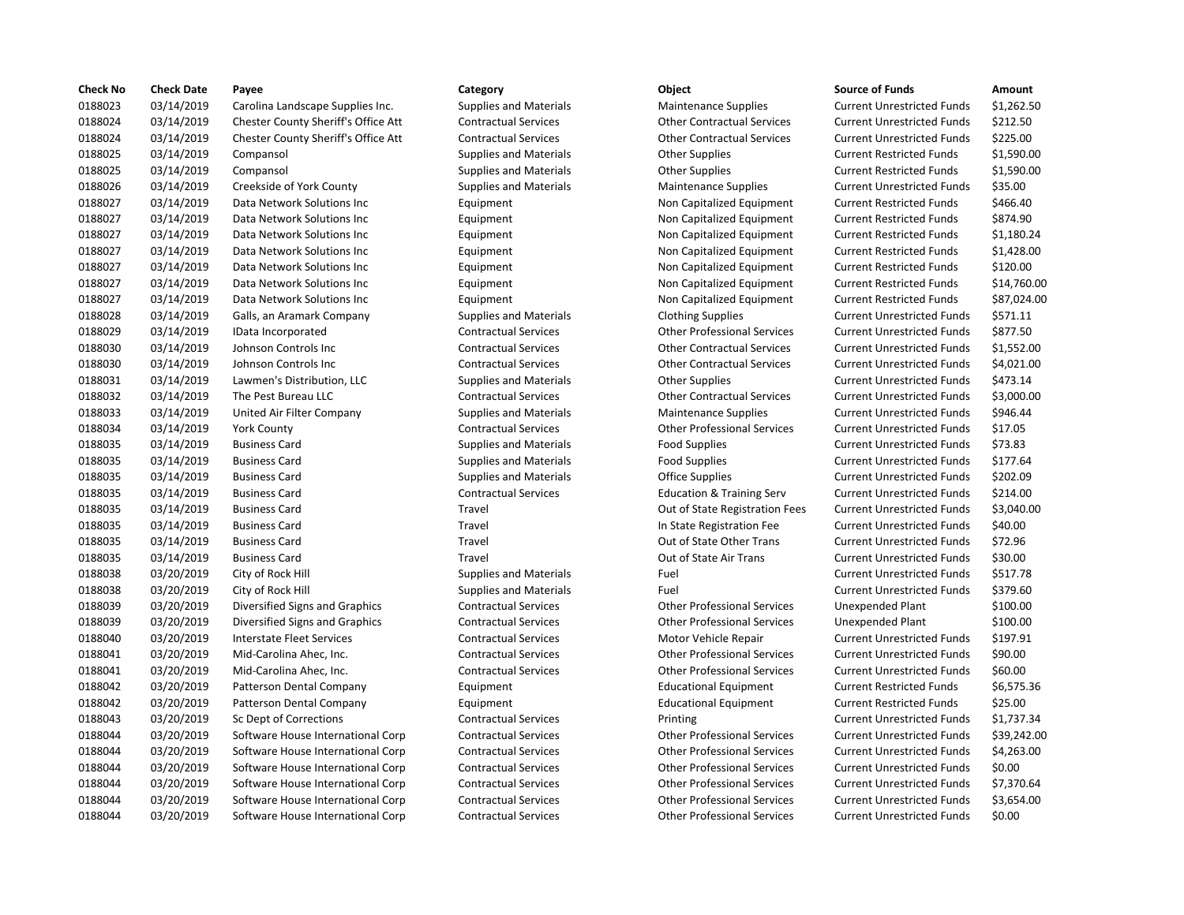| <b>Check No</b> | <b>Check Date</b> | Payee                               | Category                      | Object                               | <b>Source of Funds</b>            | Amount    |
|-----------------|-------------------|-------------------------------------|-------------------------------|--------------------------------------|-----------------------------------|-----------|
| 0188023         | 03/14/2019        | Carolina Landscape Supplies Inc.    | <b>Supplies and Materials</b> | <b>Maintenance Supplies</b>          | <b>Current Unrestricted Funds</b> | \$1,262.5 |
| 0188024         | 03/14/2019        | Chester County Sheriff's Office Att | <b>Contractual Services</b>   | <b>Other Contractual Services</b>    | <b>Current Unrestricted Funds</b> | \$212.50  |
| 0188024         | 03/14/2019        | Chester County Sheriff's Office Att | <b>Contractual Services</b>   | <b>Other Contractual Services</b>    | <b>Current Unrestricted Funds</b> | \$225.00  |
| 0188025         | 03/14/2019        | Compansol                           | <b>Supplies and Materials</b> | <b>Other Supplies</b>                | <b>Current Restricted Funds</b>   | \$1,590.0 |
| 0188025         | 03/14/2019        | Compansol                           | <b>Supplies and Materials</b> | <b>Other Supplies</b>                | <b>Current Restricted Funds</b>   | \$1,590.0 |
| 0188026         | 03/14/2019        | Creekside of York County            | <b>Supplies and Materials</b> | <b>Maintenance Supplies</b>          | <b>Current Unrestricted Funds</b> | \$35.00   |
| 0188027         | 03/14/2019        | Data Network Solutions Inc          | Equipment                     | Non Capitalized Equipment            | <b>Current Restricted Funds</b>   | \$466.40  |
| 0188027         | 03/14/2019        | Data Network Solutions Inc          | Equipment                     | Non Capitalized Equipment            | <b>Current Restricted Funds</b>   | \$874.90  |
| 0188027         | 03/14/2019        | Data Network Solutions Inc          | Equipment                     | Non Capitalized Equipment            | <b>Current Restricted Funds</b>   | \$1,180.2 |
| 0188027         | 03/14/2019        | Data Network Solutions Inc          | Equipment                     | Non Capitalized Equipment            | <b>Current Restricted Funds</b>   | \$1,428.0 |
| 0188027         | 03/14/2019        | Data Network Solutions Inc          | Equipment                     | Non Capitalized Equipment            | <b>Current Restricted Funds</b>   | \$120.00  |
| 0188027         | 03/14/2019        | Data Network Solutions Inc          | Equipment                     | Non Capitalized Equipment            | <b>Current Restricted Funds</b>   | \$14,760  |
| 0188027         | 03/14/2019        | Data Network Solutions Inc          | Equipment                     | Non Capitalized Equipment            | <b>Current Restricted Funds</b>   | \$87,024  |
| 0188028         | 03/14/2019        | Galls, an Aramark Company           | <b>Supplies and Materials</b> | <b>Clothing Supplies</b>             | <b>Current Unrestricted Funds</b> | \$571.11  |
| 0188029         | 03/14/2019        | IData Incorporated                  | <b>Contractual Services</b>   | <b>Other Professional Services</b>   | <b>Current Unrestricted Funds</b> | \$877.50  |
| 0188030         | 03/14/2019        | Johnson Controls Inc                | <b>Contractual Services</b>   | <b>Other Contractual Services</b>    | <b>Current Unrestricted Funds</b> | \$1,552.0 |
| 0188030         | 03/14/2019        | Johnson Controls Inc                | <b>Contractual Services</b>   | <b>Other Contractual Services</b>    | <b>Current Unrestricted Funds</b> | \$4,021.0 |
| 0188031         | 03/14/2019        | Lawmen's Distribution, LLC          | <b>Supplies and Materials</b> | <b>Other Supplies</b>                | <b>Current Unrestricted Funds</b> | \$473.14  |
| 0188032         | 03/14/2019        | The Pest Bureau LLC                 | <b>Contractual Services</b>   | <b>Other Contractual Services</b>    | <b>Current Unrestricted Funds</b> | \$3,000.0 |
| 0188033         | 03/14/2019        | United Air Filter Company           | <b>Supplies and Materials</b> | <b>Maintenance Supplies</b>          | <b>Current Unrestricted Funds</b> | \$946.44  |
| 0188034         | 03/14/2019        | <b>York County</b>                  | <b>Contractual Services</b>   | <b>Other Professional Services</b>   | <b>Current Unrestricted Funds</b> | \$17.05   |
| 0188035         | 03/14/2019        | <b>Business Card</b>                | <b>Supplies and Materials</b> | <b>Food Supplies</b>                 | <b>Current Unrestricted Funds</b> | \$73.83   |
| 0188035         | 03/14/2019        | <b>Business Card</b>                | <b>Supplies and Materials</b> | <b>Food Supplies</b>                 | <b>Current Unrestricted Funds</b> | \$177.64  |
| 0188035         | 03/14/2019        | <b>Business Card</b>                | <b>Supplies and Materials</b> | Office Supplies                      | <b>Current Unrestricted Funds</b> | \$202.09  |
| 0188035         | 03/14/2019        | <b>Business Card</b>                | <b>Contractual Services</b>   | <b>Education &amp; Training Serv</b> | <b>Current Unrestricted Funds</b> | \$214.00  |
| 0188035         | 03/14/2019        | <b>Business Card</b>                | Travel                        | Out of State Registration Fees       | <b>Current Unrestricted Funds</b> | \$3,040.0 |
| 0188035         | 03/14/2019        | <b>Business Card</b>                | Travel                        | In State Registration Fee            | <b>Current Unrestricted Funds</b> | \$40.00   |
| 0188035         | 03/14/2019        | <b>Business Card</b>                | Travel                        | Out of State Other Trans             | <b>Current Unrestricted Funds</b> | \$72.96   |
| 0188035         | 03/14/2019        | <b>Business Card</b>                | Travel                        | Out of State Air Trans               | <b>Current Unrestricted Funds</b> | \$30.00   |
| 0188038         | 03/20/2019        | City of Rock Hill                   | <b>Supplies and Materials</b> | Fuel                                 | <b>Current Unrestricted Funds</b> | \$517.78  |
| 0188038         | 03/20/2019        | City of Rock Hill                   | Supplies and Materials        | Fuel                                 | <b>Current Unrestricted Funds</b> | \$379.60  |
| 0188039         | 03/20/2019        | Diversified Signs and Graphics      | <b>Contractual Services</b>   | <b>Other Professional Services</b>   | Unexpended Plant                  | \$100.00  |
| 0188039         | 03/20/2019        | Diversified Signs and Graphics      | <b>Contractual Services</b>   | <b>Other Professional Services</b>   | <b>Unexpended Plant</b>           | \$100.00  |
| 0188040         | 03/20/2019        | Interstate Fleet Services           | <b>Contractual Services</b>   | Motor Vehicle Repair                 | <b>Current Unrestricted Funds</b> | \$197.91  |
| 0188041         | 03/20/2019        | Mid-Carolina Ahec, Inc.             | <b>Contractual Services</b>   | <b>Other Professional Services</b>   | <b>Current Unrestricted Funds</b> | \$90.00   |
| 0188041         | 03/20/2019        | Mid-Carolina Ahec, Inc.             | <b>Contractual Services</b>   | <b>Other Professional Services</b>   | <b>Current Unrestricted Funds</b> | \$60.00   |
| 0188042         | 03/20/2019        | Patterson Dental Company            | Equipment                     | <b>Educational Equipment</b>         | <b>Current Restricted Funds</b>   | \$6,575.3 |
| 0188042         | 03/20/2019        | Patterson Dental Company            | Equipment                     | <b>Educational Equipment</b>         | <b>Current Restricted Funds</b>   | \$25.00   |
| 0188043         | 03/20/2019        | Sc Dept of Corrections              | <b>Contractual Services</b>   | Printing                             | <b>Current Unrestricted Funds</b> | \$1,737.3 |
| 0188044         | 03/20/2019        | Software House International Corp   | <b>Contractual Services</b>   | <b>Other Professional Services</b>   | <b>Current Unrestricted Funds</b> | \$39,242  |
| 0188044         | 03/20/2019        | Software House International Corp   | <b>Contractual Services</b>   | <b>Other Professional Services</b>   | <b>Current Unrestricted Funds</b> | \$4,263.0 |
| 0188044         | 03/20/2019        | Software House International Corp   | <b>Contractual Services</b>   | <b>Other Professional Services</b>   | <b>Current Unrestricted Funds</b> | \$0.00    |
| 0188044         | 03/20/2019        | Software House International Corp   | <b>Contractual Services</b>   | <b>Other Professional Services</b>   | <b>Current Unrestricted Funds</b> | \$7,370.6 |
| 0188044         | 03/20/2019        | Software House International Corp   | <b>Contractual Services</b>   | <b>Other Professional Services</b>   | <b>Current Unrestricted Funds</b> | \$3,654.0 |
| 0188044         | 03/20/2019        | Software House International Corp   | <b>Contractual Services</b>   | <b>Other Professional Services</b>   | <b>Current Unrestricted Funds</b> | \$0.00    |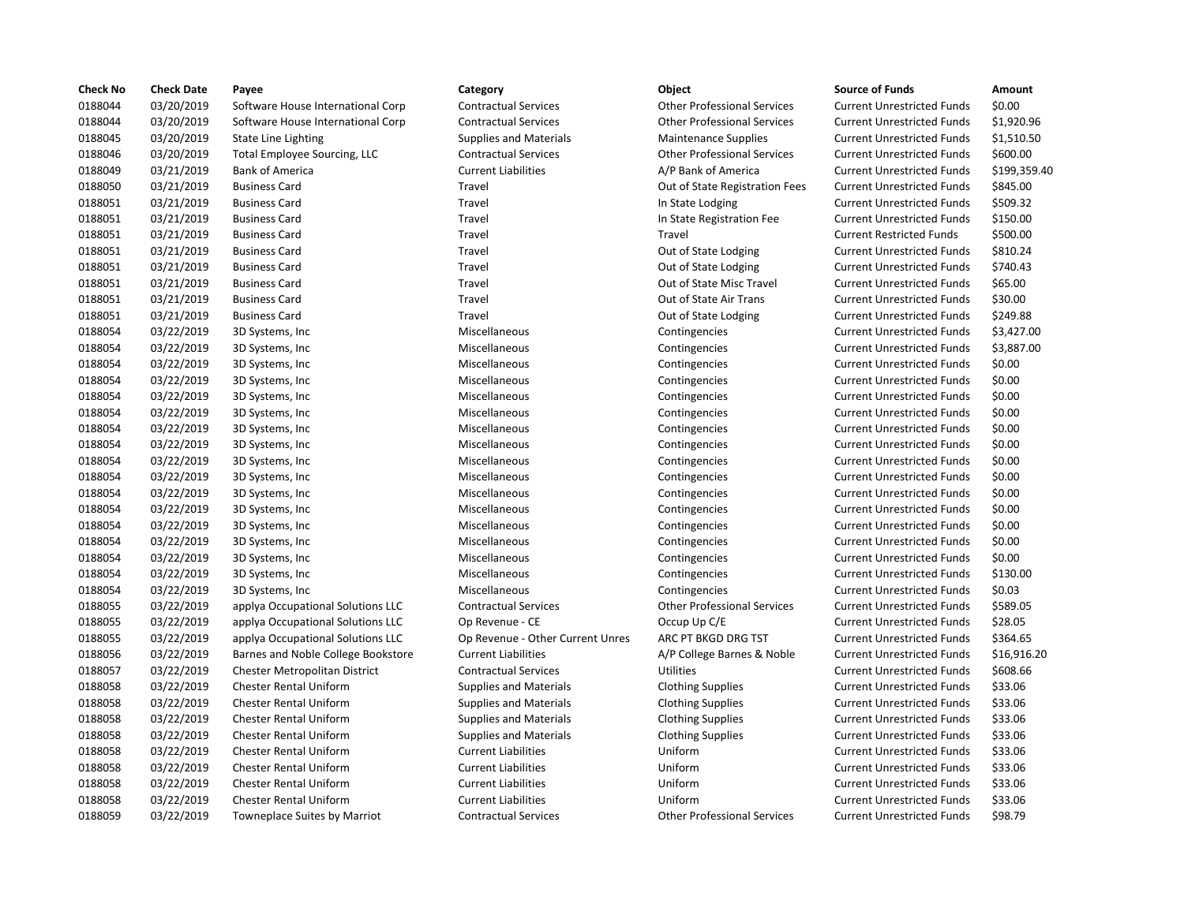| Check No | <b>Check Date</b> | Payee                               | Category                         | <b>Object</b>                      | <b>Source of Funds</b>            | Amount       |
|----------|-------------------|-------------------------------------|----------------------------------|------------------------------------|-----------------------------------|--------------|
| 0188044  | 03/20/2019        | Software House International Corp   | <b>Contractual Services</b>      | <b>Other Professional Services</b> | <b>Current Unrestricted Funds</b> | \$0.00       |
| 0188044  | 03/20/2019        | Software House International Corp   | <b>Contractual Services</b>      | <b>Other Professional Services</b> | <b>Current Unrestricted Funds</b> | \$1,920.96   |
| 0188045  | 03/20/2019        | <b>State Line Lighting</b>          | <b>Supplies and Materials</b>    | <b>Maintenance Supplies</b>        | <b>Current Unrestricted Funds</b> | \$1,510.50   |
| 0188046  | 03/20/2019        | Total Employee Sourcing, LLC        | <b>Contractual Services</b>      | <b>Other Professional Services</b> | <b>Current Unrestricted Funds</b> | \$600.00     |
| 0188049  | 03/21/2019        | <b>Bank of America</b>              | <b>Current Liabilities</b>       | A/P Bank of America                | <b>Current Unrestricted Funds</b> | \$199,359.40 |
| 0188050  | 03/21/2019        | <b>Business Card</b>                | Travel                           | Out of State Registration Fees     | <b>Current Unrestricted Funds</b> | \$845.00     |
| 0188051  | 03/21/2019        | <b>Business Card</b>                | Travel                           | In State Lodging                   | <b>Current Unrestricted Funds</b> | \$509.32     |
| 0188051  | 03/21/2019        | <b>Business Card</b>                | Travel                           | In State Registration Fee          | <b>Current Unrestricted Funds</b> | \$150.00     |
| 0188051  | 03/21/2019        | <b>Business Card</b>                | Travel                           | Travel                             | <b>Current Restricted Funds</b>   | \$500.00     |
| 0188051  | 03/21/2019        | <b>Business Card</b>                | Travel                           | Out of State Lodging               | <b>Current Unrestricted Funds</b> | \$810.24     |
| 0188051  | 03/21/2019        | <b>Business Card</b>                | Travel                           | Out of State Lodging               | <b>Current Unrestricted Funds</b> | \$740.43     |
| 0188051  | 03/21/2019        | <b>Business Card</b>                | Travel                           | Out of State Misc Travel           | <b>Current Unrestricted Funds</b> | \$65.00      |
| 0188051  | 03/21/2019        | <b>Business Card</b>                | Travel                           | Out of State Air Trans             | <b>Current Unrestricted Funds</b> | \$30.00      |
| 0188051  | 03/21/2019        | <b>Business Card</b>                | Travel                           | Out of State Lodging               | <b>Current Unrestricted Funds</b> | \$249.88     |
| 0188054  | 03/22/2019        | 3D Systems, Inc.                    | Miscellaneous                    | Contingencies                      | <b>Current Unrestricted Funds</b> | \$3,427.00   |
| 0188054  | 03/22/2019        | 3D Systems, Inc.                    | Miscellaneous                    | Contingencies                      | <b>Current Unrestricted Funds</b> | \$3,887.00   |
| 0188054  | 03/22/2019        | 3D Systems, Inc                     | Miscellaneous                    | Contingencies                      | <b>Current Unrestricted Funds</b> | \$0.00       |
| 0188054  | 03/22/2019        | 3D Systems, Inc.                    | Miscellaneous                    | Contingencies                      | <b>Current Unrestricted Funds</b> | \$0.00       |
| 0188054  | 03/22/2019        | 3D Systems, Inc                     | Miscellaneous                    | Contingencies                      | <b>Current Unrestricted Funds</b> | \$0.00       |
| 0188054  | 03/22/2019        | 3D Systems, Inc.                    | Miscellaneous                    | Contingencies                      | <b>Current Unrestricted Funds</b> | \$0.00       |
| 0188054  | 03/22/2019        | 3D Systems, Inc.                    | Miscellaneous                    | Contingencies                      | <b>Current Unrestricted Funds</b> | \$0.00       |
| 0188054  | 03/22/2019        | 3D Systems, Inc.                    | Miscellaneous                    | Contingencies                      | <b>Current Unrestricted Funds</b> | \$0.00       |
| 0188054  | 03/22/2019        | 3D Systems, Inc                     | Miscellaneous                    | Contingencies                      | <b>Current Unrestricted Funds</b> | \$0.00       |
| 0188054  | 03/22/2019        | 3D Systems, Inc.                    | Miscellaneous                    | Contingencies                      | <b>Current Unrestricted Funds</b> | \$0.00       |
| 0188054  | 03/22/2019        | 3D Systems, Inc.                    | Miscellaneous                    | Contingencies                      | <b>Current Unrestricted Funds</b> | \$0.00       |
| 0188054  | 03/22/2019        | 3D Systems, Inc.                    | Miscellaneous                    | Contingencies                      | <b>Current Unrestricted Funds</b> | \$0.00       |
| 0188054  | 03/22/2019        | 3D Systems, Inc                     | Miscellaneous                    | Contingencies                      | <b>Current Unrestricted Funds</b> | \$0.00       |
| 0188054  | 03/22/2019        | 3D Systems, Inc                     | Miscellaneous                    | Contingencies                      | <b>Current Unrestricted Funds</b> | \$0.00       |
| 0188054  | 03/22/2019        | 3D Systems, Inc                     | Miscellaneous                    | Contingencies                      | <b>Current Unrestricted Funds</b> | \$0.00       |
| 0188054  | 03/22/2019        | 3D Systems, Inc.                    | Miscellaneous                    | Contingencies                      | <b>Current Unrestricted Funds</b> | \$130.00     |
| 0188054  | 03/22/2019        | 3D Systems, Inc.                    | Miscellaneous                    | Contingencies                      | <b>Current Unrestricted Funds</b> | \$0.03       |
| 0188055  | 03/22/2019        | applya Occupational Solutions LLC   | <b>Contractual Services</b>      | <b>Other Professional Services</b> | <b>Current Unrestricted Funds</b> | \$589.05     |
| 0188055  | 03/22/2019        | applya Occupational Solutions LLC   | Op Revenue - CE                  | Occup Up C/E                       | <b>Current Unrestricted Funds</b> | \$28.05      |
| 0188055  | 03/22/2019        | applya Occupational Solutions LLC   | Op Revenue - Other Current Unres | ARC PT BKGD DRG TST                | <b>Current Unrestricted Funds</b> | \$364.65     |
| 0188056  | 03/22/2019        | Barnes and Noble College Bookstore  | <b>Current Liabilities</b>       | A/P College Barnes & Noble         | <b>Current Unrestricted Funds</b> | \$16,916.20  |
| 0188057  | 03/22/2019        | Chester Metropolitan District       | <b>Contractual Services</b>      | Utilities                          | <b>Current Unrestricted Funds</b> | \$608.66     |
| 0188058  | 03/22/2019        | <b>Chester Rental Uniform</b>       | <b>Supplies and Materials</b>    | <b>Clothing Supplies</b>           | <b>Current Unrestricted Funds</b> | \$33.06      |
| 0188058  | 03/22/2019        | <b>Chester Rental Uniform</b>       | <b>Supplies and Materials</b>    | <b>Clothing Supplies</b>           | <b>Current Unrestricted Funds</b> | \$33.06      |
| 0188058  | 03/22/2019        | <b>Chester Rental Uniform</b>       | <b>Supplies and Materials</b>    | <b>Clothing Supplies</b>           | <b>Current Unrestricted Funds</b> | \$33.06      |
| 0188058  | 03/22/2019        | <b>Chester Rental Uniform</b>       | <b>Supplies and Materials</b>    | <b>Clothing Supplies</b>           | <b>Current Unrestricted Funds</b> | \$33.06      |
| 0188058  | 03/22/2019        | <b>Chester Rental Uniform</b>       | <b>Current Liabilities</b>       | Uniform                            | <b>Current Unrestricted Funds</b> | \$33.06      |
| 0188058  | 03/22/2019        | Chester Rental Uniform              | <b>Current Liabilities</b>       | Uniform                            | <b>Current Unrestricted Funds</b> | \$33.06      |
| 0188058  | 03/22/2019        | Chester Rental Uniform              | <b>Current Liabilities</b>       | Uniform                            | <b>Current Unrestricted Funds</b> | \$33.06      |
| 0188058  | 03/22/2019        | Chester Rental Uniform              | <b>Current Liabilities</b>       | Uniform                            | <b>Current Unrestricted Funds</b> | \$33.06      |
| 0188059  | 03/22/2019        | <b>Towneplace Suites by Marriot</b> | <b>Contractual Services</b>      | <b>Other Professional Services</b> | <b>Current Unrestricted Funds</b> | \$98.79      |
|          |                   |                                     |                                  |                                    |                                   |              |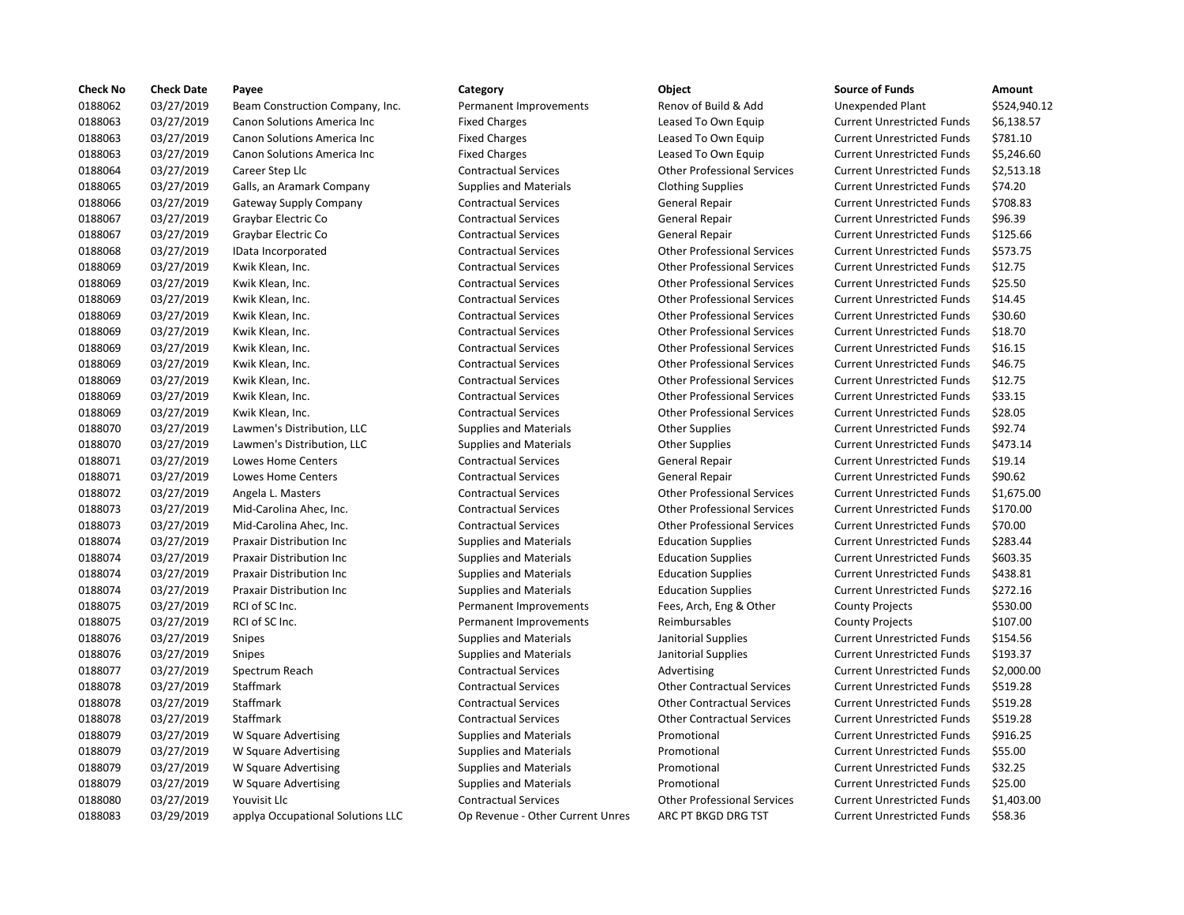| <b>Check No</b> | <b>Check Date</b> | Payee                             | Category                         | Object                             | <b>Source of Funds</b>            | Amount    |
|-----------------|-------------------|-----------------------------------|----------------------------------|------------------------------------|-----------------------------------|-----------|
| 0188062         | 03/27/2019        | Beam Construction Company, Inc.   | Permanent Improvements           | Renov of Build & Add               | Unexpended Plant                  | \$524,94  |
| 0188063         | 03/27/2019        | Canon Solutions America Inc       | <b>Fixed Charges</b>             | Leased To Own Equip                | <b>Current Unrestricted Funds</b> | \$6,138.5 |
| 0188063         | 03/27/2019        | Canon Solutions America Inc       | <b>Fixed Charges</b>             | Leased To Own Equip                | <b>Current Unrestricted Funds</b> | \$781.10  |
| 0188063         | 03/27/2019        | Canon Solutions America Inc       | <b>Fixed Charges</b>             | Leased To Own Equip                | <b>Current Unrestricted Funds</b> | \$5,246.6 |
| 0188064         | 03/27/2019        | Career Step Llc                   | <b>Contractual Services</b>      | <b>Other Professional Services</b> | <b>Current Unrestricted Funds</b> | \$2,513.1 |
| 0188065         | 03/27/2019        | Galls, an Aramark Company         | <b>Supplies and Materials</b>    | <b>Clothing Supplies</b>           | <b>Current Unrestricted Funds</b> | \$74.20   |
| 0188066         | 03/27/2019        | Gateway Supply Company            | <b>Contractual Services</b>      | <b>General Repair</b>              | <b>Current Unrestricted Funds</b> | \$708.83  |
| 0188067         | 03/27/2019        | Graybar Electric Co               | <b>Contractual Services</b>      | General Repair                     | <b>Current Unrestricted Funds</b> | \$96.39   |
| 0188067         | 03/27/2019        | Graybar Electric Co               | <b>Contractual Services</b>      | <b>General Repair</b>              | <b>Current Unrestricted Funds</b> | \$125.66  |
| 0188068         | 03/27/2019        | IData Incorporated                | <b>Contractual Services</b>      | <b>Other Professional Services</b> | <b>Current Unrestricted Funds</b> | \$573.75  |
| 0188069         | 03/27/2019        | Kwik Klean, Inc.                  | <b>Contractual Services</b>      | <b>Other Professional Services</b> | <b>Current Unrestricted Funds</b> | \$12.75   |
| 0188069         | 03/27/2019        | Kwik Klean, Inc.                  | <b>Contractual Services</b>      | <b>Other Professional Services</b> | <b>Current Unrestricted Funds</b> | \$25.50   |
| 0188069         | 03/27/2019        | Kwik Klean, Inc.                  | <b>Contractual Services</b>      | <b>Other Professional Services</b> | <b>Current Unrestricted Funds</b> | \$14.45   |
| 0188069         | 03/27/2019        | Kwik Klean, Inc.                  | <b>Contractual Services</b>      | <b>Other Professional Services</b> | <b>Current Unrestricted Funds</b> | \$30.60   |
| 0188069         | 03/27/2019        | Kwik Klean, Inc.                  | <b>Contractual Services</b>      | <b>Other Professional Services</b> | <b>Current Unrestricted Funds</b> | \$18.70   |
| 0188069         | 03/27/2019        | Kwik Klean, Inc.                  | <b>Contractual Services</b>      | <b>Other Professional Services</b> | <b>Current Unrestricted Funds</b> | \$16.15   |
| 0188069         | 03/27/2019        | Kwik Klean, Inc.                  | <b>Contractual Services</b>      | <b>Other Professional Services</b> | <b>Current Unrestricted Funds</b> | \$46.75   |
| 0188069         | 03/27/2019        | Kwik Klean, Inc.                  | <b>Contractual Services</b>      | <b>Other Professional Services</b> | <b>Current Unrestricted Funds</b> | \$12.75   |
| 0188069         | 03/27/2019        | Kwik Klean, Inc.                  | <b>Contractual Services</b>      | <b>Other Professional Services</b> | <b>Current Unrestricted Funds</b> | \$33.15   |
| 0188069         | 03/27/2019        | Kwik Klean, Inc.                  | <b>Contractual Services</b>      | <b>Other Professional Services</b> | <b>Current Unrestricted Funds</b> | \$28.05   |
| 0188070         | 03/27/2019        | Lawmen's Distribution, LLC        | Supplies and Materials           | <b>Other Supplies</b>              | <b>Current Unrestricted Funds</b> | \$92.74   |
| 0188070         | 03/27/2019        | Lawmen's Distribution, LLC        | <b>Supplies and Materials</b>    | <b>Other Supplies</b>              | <b>Current Unrestricted Funds</b> | \$473.14  |
| 0188071         | 03/27/2019        | <b>Lowes Home Centers</b>         | <b>Contractual Services</b>      | General Repair                     | <b>Current Unrestricted Funds</b> | \$19.14   |
| 0188071         | 03/27/2019        | Lowes Home Centers                | <b>Contractual Services</b>      | General Repair                     | <b>Current Unrestricted Funds</b> | \$90.62   |
| 0188072         | 03/27/2019        | Angela L. Masters                 | <b>Contractual Services</b>      | <b>Other Professional Services</b> | <b>Current Unrestricted Funds</b> | \$1,675.0 |
| 0188073         | 03/27/2019        | Mid-Carolina Ahec, Inc.           | <b>Contractual Services</b>      | <b>Other Professional Services</b> | <b>Current Unrestricted Funds</b> | \$170.00  |
| 0188073         | 03/27/2019        | Mid-Carolina Ahec, Inc.           | <b>Contractual Services</b>      | <b>Other Professional Services</b> | <b>Current Unrestricted Funds</b> | \$70.00   |
| 0188074         | 03/27/2019        | Praxair Distribution Inc          | <b>Supplies and Materials</b>    | <b>Education Supplies</b>          | <b>Current Unrestricted Funds</b> | \$283.44  |
| 0188074         | 03/27/2019        | <b>Praxair Distribution Inc.</b>  | <b>Supplies and Materials</b>    | <b>Education Supplies</b>          | <b>Current Unrestricted Funds</b> | \$603.35  |
| 0188074         | 03/27/2019        | <b>Praxair Distribution Inc.</b>  | <b>Supplies and Materials</b>    | <b>Education Supplies</b>          | <b>Current Unrestricted Funds</b> | \$438.81  |
| 0188074         | 03/27/2019        | Praxair Distribution Inc          | <b>Supplies and Materials</b>    | <b>Education Supplies</b>          | <b>Current Unrestricted Funds</b> | \$272.16  |
| 0188075         | 03/27/2019        | RCI of SC Inc.                    | Permanent Improvements           | Fees, Arch, Eng & Other            | <b>County Projects</b>            | \$530.00  |
| 0188075         | 03/27/2019        | RCI of SC Inc.                    | Permanent Improvements           | Reimbursables                      | <b>County Projects</b>            | \$107.00  |
| 0188076         | 03/27/2019        | Snipes                            | <b>Supplies and Materials</b>    | Janitorial Supplies                | <b>Current Unrestricted Funds</b> | \$154.56  |
| 0188076         | 03/27/2019        | Snipes                            | <b>Supplies and Materials</b>    | Janitorial Supplies                | <b>Current Unrestricted Funds</b> | \$193.37  |
| 0188077         | 03/27/2019        | Spectrum Reach                    | <b>Contractual Services</b>      | Advertising                        | <b>Current Unrestricted Funds</b> | \$2,000.0 |
| 0188078         | 03/27/2019        | Staffmark                         | <b>Contractual Services</b>      | <b>Other Contractual Services</b>  | <b>Current Unrestricted Funds</b> | \$519.28  |
| 0188078         | 03/27/2019        | <b>Staffmark</b>                  | <b>Contractual Services</b>      | <b>Other Contractual Services</b>  | <b>Current Unrestricted Funds</b> | \$519.28  |
| 0188078         | 03/27/2019        | Staffmark                         | <b>Contractual Services</b>      | <b>Other Contractual Services</b>  | <b>Current Unrestricted Funds</b> | \$519.28  |
| 0188079         | 03/27/2019        | W Square Advertising              | <b>Supplies and Materials</b>    | Promotional                        | <b>Current Unrestricted Funds</b> | \$916.25  |
| 0188079         | 03/27/2019        | W Square Advertising              | <b>Supplies and Materials</b>    | Promotional                        | <b>Current Unrestricted Funds</b> | \$55.00   |
| 0188079         | 03/27/2019        | W Square Advertising              | Supplies and Materials           | Promotional                        | <b>Current Unrestricted Funds</b> | \$32.25   |
| 0188079         | 03/27/2019        | W Square Advertising              | <b>Supplies and Materials</b>    | Promotional                        | <b>Current Unrestricted Funds</b> | \$25.00   |
| 0188080         | 03/27/2019        | Youvisit Llc                      | <b>Contractual Services</b>      | <b>Other Professional Services</b> | <b>Current Unrestricted Funds</b> | \$1,403.0 |
| 0188083         | 03/29/2019        | applya Occupational Solutions LLC | Op Revenue - Other Current Unres | ARC PT BKGD DRG TST                | <b>Current Unrestricted Funds</b> | \$58.36   |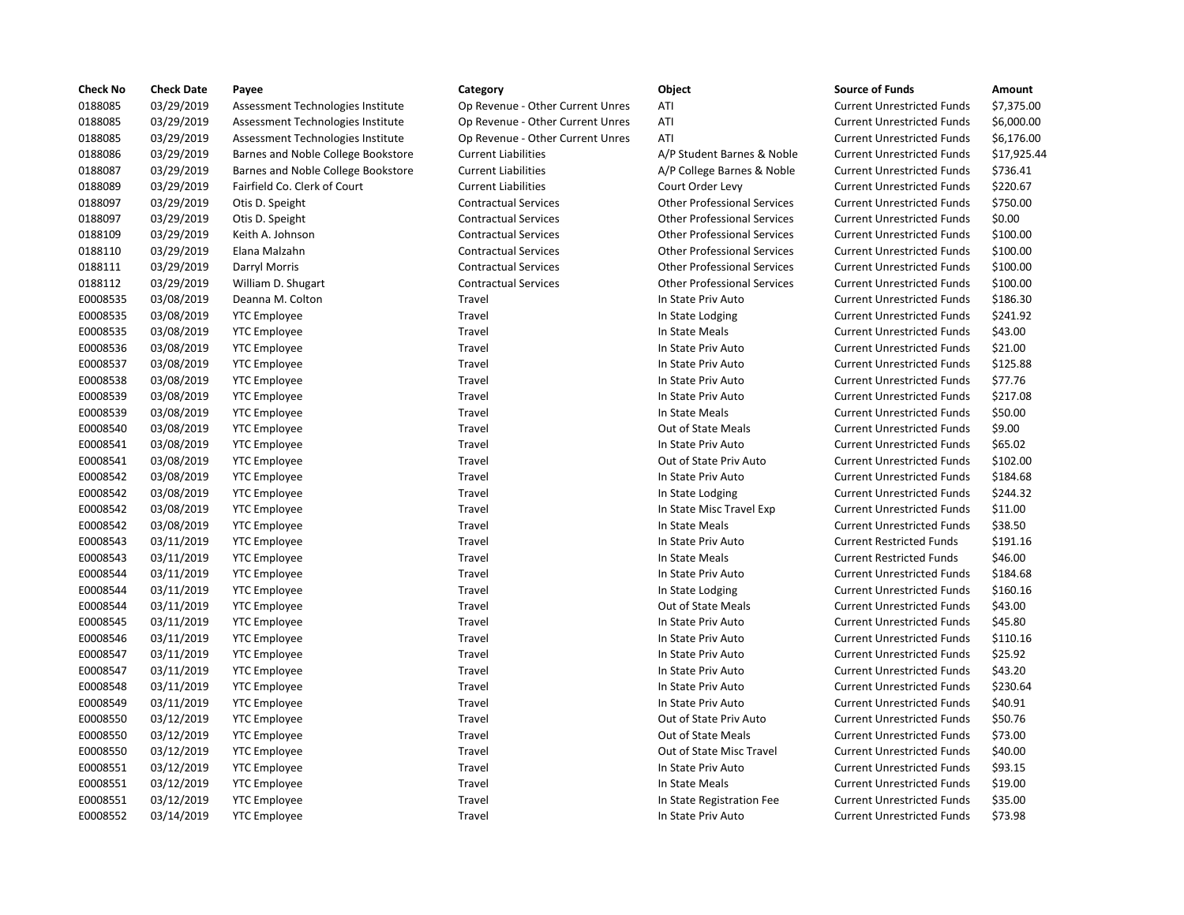| <b>Check No</b> | <b>Check Date</b> | Payee                              | Category                         | Object                             | <b>Source of Funds</b>            | Amount    |
|-----------------|-------------------|------------------------------------|----------------------------------|------------------------------------|-----------------------------------|-----------|
| 0188085         | 03/29/2019        | Assessment Technologies Institute  | Op Revenue - Other Current Unres | ATI                                | <b>Current Unrestricted Funds</b> | \$7,375.0 |
| 0188085         | 03/29/2019        | Assessment Technologies Institute  | Op Revenue - Other Current Unres | ATI                                | <b>Current Unrestricted Funds</b> | \$6,000.0 |
| 0188085         | 03/29/2019        | Assessment Technologies Institute  | Op Revenue - Other Current Unres | ATI                                | <b>Current Unrestricted Funds</b> | \$6,176.0 |
| 0188086         | 03/29/2019        | Barnes and Noble College Bookstore | <b>Current Liabilities</b>       | A/P Student Barnes & Noble         | <b>Current Unrestricted Funds</b> | \$17,925  |
| 0188087         | 03/29/2019        | Barnes and Noble College Bookstore | <b>Current Liabilities</b>       | A/P College Barnes & Noble         | <b>Current Unrestricted Funds</b> | \$736.41  |
| 0188089         | 03/29/2019        | Fairfield Co. Clerk of Court       | <b>Current Liabilities</b>       | Court Order Levy                   | <b>Current Unrestricted Funds</b> | \$220.67  |
| 0188097         | 03/29/2019        | Otis D. Speight                    | <b>Contractual Services</b>      | <b>Other Professional Services</b> | <b>Current Unrestricted Funds</b> | \$750.00  |
| 0188097         | 03/29/2019        | Otis D. Speight                    | <b>Contractual Services</b>      | <b>Other Professional Services</b> | <b>Current Unrestricted Funds</b> | \$0.00    |
| 0188109         | 03/29/2019        | Keith A. Johnson                   | <b>Contractual Services</b>      | <b>Other Professional Services</b> | <b>Current Unrestricted Funds</b> | \$100.00  |
| 0188110         | 03/29/2019        | Elana Malzahn                      | <b>Contractual Services</b>      | <b>Other Professional Services</b> | <b>Current Unrestricted Funds</b> | \$100.00  |
| 0188111         | 03/29/2019        | Darryl Morris                      | <b>Contractual Services</b>      | <b>Other Professional Services</b> | <b>Current Unrestricted Funds</b> | \$100.00  |
| 0188112         | 03/29/2019        | William D. Shugart                 | <b>Contractual Services</b>      | <b>Other Professional Services</b> | <b>Current Unrestricted Funds</b> | \$100.00  |
| E0008535        | 03/08/2019        | Deanna M. Colton                   | Travel                           | In State Priv Auto                 | <b>Current Unrestricted Funds</b> | \$186.30  |
| E0008535        | 03/08/2019        | <b>YTC Employee</b>                | Travel                           | In State Lodging                   | <b>Current Unrestricted Funds</b> | \$241.92  |
| E0008535        | 03/08/2019        | <b>YTC Employee</b>                | Travel                           | In State Meals                     | <b>Current Unrestricted Funds</b> | \$43.00   |
| E0008536        | 03/08/2019        | <b>YTC Employee</b>                | Travel                           | In State Priv Auto                 | <b>Current Unrestricted Funds</b> | \$21.00   |
| E0008537        | 03/08/2019        | <b>YTC Employee</b>                | Travel                           | In State Priv Auto                 | <b>Current Unrestricted Funds</b> | \$125.88  |
| E0008538        | 03/08/2019        | <b>YTC Employee</b>                | Travel                           | In State Priv Auto                 | <b>Current Unrestricted Funds</b> | \$77.76   |
| E0008539        | 03/08/2019        | <b>YTC Employee</b>                | Travel                           | In State Priv Auto                 | <b>Current Unrestricted Funds</b> | \$217.08  |
| E0008539        | 03/08/2019        | <b>YTC Employee</b>                | Travel                           | In State Meals                     | <b>Current Unrestricted Funds</b> | \$50.00   |
| E0008540        | 03/08/2019        | <b>YTC Employee</b>                | Travel                           | <b>Out of State Meals</b>          | <b>Current Unrestricted Funds</b> | \$9.00    |
| E0008541        | 03/08/2019        | <b>YTC Employee</b>                | Travel                           | In State Priv Auto                 | <b>Current Unrestricted Funds</b> | \$65.02   |
| E0008541        | 03/08/2019        | <b>YTC Employee</b>                | Travel                           | Out of State Priv Auto             | <b>Current Unrestricted Funds</b> | \$102.00  |
| E0008542        | 03/08/2019        | <b>YTC Employee</b>                | Travel                           | In State Priv Auto                 | <b>Current Unrestricted Funds</b> | \$184.68  |
| E0008542        | 03/08/2019        | <b>YTC Employee</b>                | Travel                           | In State Lodging                   | <b>Current Unrestricted Funds</b> | \$244.32  |
| E0008542        | 03/08/2019        | <b>YTC Employee</b>                | Travel                           | In State Misc Travel Exp           | <b>Current Unrestricted Funds</b> | \$11.00   |
| E0008542        | 03/08/2019        | <b>YTC Employee</b>                | Travel                           | In State Meals                     | <b>Current Unrestricted Funds</b> | \$38.50   |
| E0008543        | 03/11/2019        | <b>YTC Employee</b>                | Travel                           | In State Priv Auto                 | <b>Current Restricted Funds</b>   | \$191.16  |
| E0008543        | 03/11/2019        | <b>YTC Employee</b>                | Travel                           | In State Meals                     | <b>Current Restricted Funds</b>   | \$46.00   |
| E0008544        | 03/11/2019        | <b>YTC Employee</b>                | Travel                           | In State Priv Auto                 | <b>Current Unrestricted Funds</b> | \$184.68  |
| E0008544        | 03/11/2019        | <b>YTC Employee</b>                | Travel                           | In State Lodging                   | <b>Current Unrestricted Funds</b> | \$160.16  |
| E0008544        | 03/11/2019        | <b>YTC Employee</b>                | Travel                           | Out of State Meals                 | <b>Current Unrestricted Funds</b> | \$43.00   |
| E0008545        | 03/11/2019        | <b>YTC Employee</b>                | Travel                           | In State Priv Auto                 | <b>Current Unrestricted Funds</b> | \$45.80   |
| E0008546        | 03/11/2019        | <b>YTC Employee</b>                | Travel                           | In State Priv Auto                 | <b>Current Unrestricted Funds</b> | \$110.16  |
| E0008547        | 03/11/2019        | <b>YTC</b> Employee                | Travel                           | In State Priv Auto                 | <b>Current Unrestricted Funds</b> | \$25.92   |
| E0008547        | 03/11/2019        | <b>YTC Employee</b>                | Travel                           | In State Priv Auto                 | <b>Current Unrestricted Funds</b> | \$43.20   |
| E0008548        | 03/11/2019        | <b>YTC Employee</b>                | Travel                           | In State Priv Auto                 | <b>Current Unrestricted Funds</b> | \$230.64  |
| E0008549        | 03/11/2019        | <b>YTC Employee</b>                | Travel                           | In State Priv Auto                 | <b>Current Unrestricted Funds</b> | \$40.91   |
| E0008550        | 03/12/2019        | <b>YTC Employee</b>                | Travel                           | Out of State Priv Auto             | <b>Current Unrestricted Funds</b> | \$50.76   |
| E0008550        | 03/12/2019        | <b>YTC Employee</b>                | Travel                           | <b>Out of State Meals</b>          | <b>Current Unrestricted Funds</b> | \$73.00   |
| E0008550        | 03/12/2019        | <b>YTC Employee</b>                | Travel                           | Out of State Misc Travel           | <b>Current Unrestricted Funds</b> | \$40.00   |
| E0008551        | 03/12/2019        | <b>YTC Employee</b>                | Travel                           | In State Priv Auto                 | <b>Current Unrestricted Funds</b> | \$93.15   |
| E0008551        | 03/12/2019        | <b>YTC Employee</b>                | Travel                           | In State Meals                     | <b>Current Unrestricted Funds</b> | \$19.00   |
| E0008551        | 03/12/2019        | <b>YTC Employee</b>                | Travel                           | In State Registration Fee          | <b>Current Unrestricted Funds</b> | \$35.00   |
| E0008552        | 03/14/2019        | <b>YTC Employee</b>                | Travel                           | In State Priv Auto                 | <b>Current Unrestricted Funds</b> | \$73.98   |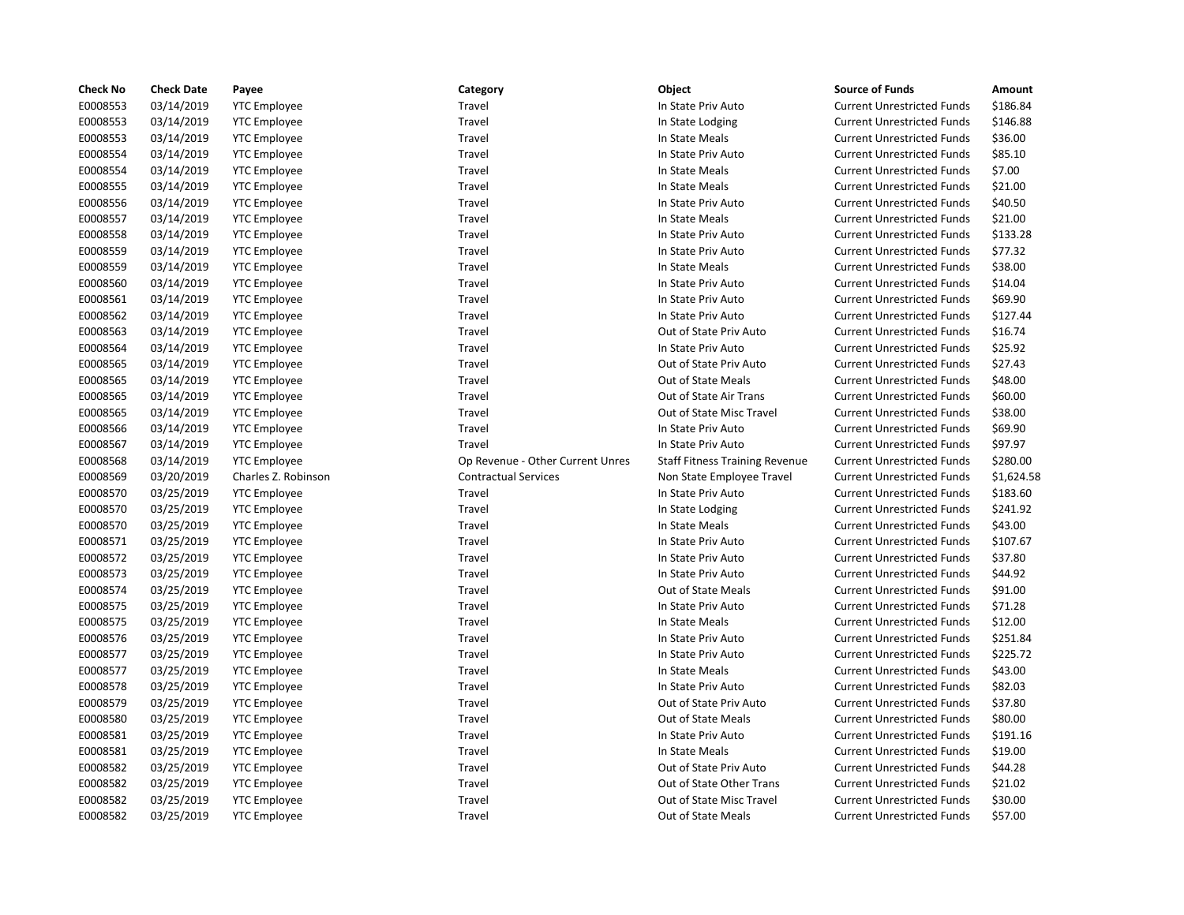| <b>Check No</b> | <b>Check Date</b> | Payee               | Category                         | Object                                | <b>Source of Funds</b>            | Amount     |
|-----------------|-------------------|---------------------|----------------------------------|---------------------------------------|-----------------------------------|------------|
| E0008553        | 03/14/2019        | <b>YTC Employee</b> | Travel                           | In State Priv Auto                    | <b>Current Unrestricted Funds</b> | \$186.84   |
| E0008553        | 03/14/2019        | <b>YTC Employee</b> | Travel                           | In State Lodging                      | <b>Current Unrestricted Funds</b> | \$146.88   |
| E0008553        | 03/14/2019        | <b>YTC Employee</b> | Travel                           | In State Meals                        | <b>Current Unrestricted Funds</b> | \$36.00    |
| E0008554        | 03/14/2019        | <b>YTC Employee</b> | Travel                           | In State Priv Auto                    | <b>Current Unrestricted Funds</b> | \$85.10    |
| E0008554        | 03/14/2019        | <b>YTC Employee</b> | Travel                           | In State Meals                        | <b>Current Unrestricted Funds</b> | \$7.00     |
| E0008555        | 03/14/2019        | <b>YTC Employee</b> | Travel                           | In State Meals                        | <b>Current Unrestricted Funds</b> | \$21.00    |
| E0008556        | 03/14/2019        | <b>YTC Employee</b> | Travel                           | In State Priv Auto                    | <b>Current Unrestricted Funds</b> | \$40.50    |
| E0008557        | 03/14/2019        | <b>YTC Employee</b> | Travel                           | In State Meals                        | <b>Current Unrestricted Funds</b> | \$21.00    |
| E0008558        | 03/14/2019        | <b>YTC Employee</b> | Travel                           | In State Priv Auto                    | <b>Current Unrestricted Funds</b> | \$133.28   |
| E0008559        | 03/14/2019        | <b>YTC Employee</b> | Travel                           | In State Priv Auto                    | <b>Current Unrestricted Funds</b> | \$77.32    |
| E0008559        | 03/14/2019        | <b>YTC Employee</b> | Travel                           | In State Meals                        | <b>Current Unrestricted Funds</b> | \$38.00    |
| E0008560        | 03/14/2019        | <b>YTC Employee</b> | Travel                           | In State Priv Auto                    | <b>Current Unrestricted Funds</b> | \$14.04    |
| E0008561        | 03/14/2019        | <b>YTC</b> Employee | Travel                           | In State Priv Auto                    | <b>Current Unrestricted Funds</b> | \$69.90    |
| E0008562        | 03/14/2019        | <b>YTC Employee</b> | Travel                           | In State Priv Auto                    | <b>Current Unrestricted Funds</b> | \$127.44   |
| E0008563        | 03/14/2019        | <b>YTC Employee</b> | Travel                           | Out of State Priv Auto                | <b>Current Unrestricted Funds</b> | \$16.74    |
| E0008564        | 03/14/2019        | <b>YTC Employee</b> | Travel                           | In State Priv Auto                    | <b>Current Unrestricted Funds</b> | \$25.92    |
| E0008565        | 03/14/2019        | <b>YTC Employee</b> | Travel                           | Out of State Priv Auto                | <b>Current Unrestricted Funds</b> | \$27.43    |
| E0008565        | 03/14/2019        | <b>YTC Employee</b> | Travel                           | Out of State Meals                    | <b>Current Unrestricted Funds</b> | \$48.00    |
| E0008565        | 03/14/2019        | <b>YTC Employee</b> | Travel                           | Out of State Air Trans                | <b>Current Unrestricted Funds</b> | \$60.00    |
| E0008565        | 03/14/2019        | <b>YTC Employee</b> | Travel                           | Out of State Misc Travel              | <b>Current Unrestricted Funds</b> | \$38.00    |
| E0008566        | 03/14/2019        | <b>YTC Employee</b> | Travel                           | In State Priv Auto                    | <b>Current Unrestricted Funds</b> | \$69.90    |
| E0008567        | 03/14/2019        | <b>YTC Employee</b> | Travel                           | In State Priv Auto                    | <b>Current Unrestricted Funds</b> | \$97.97    |
| E0008568        | 03/14/2019        | <b>YTC Employee</b> | Op Revenue - Other Current Unres | <b>Staff Fitness Training Revenue</b> | <b>Current Unrestricted Funds</b> | \$280.00   |
| E0008569        | 03/20/2019        | Charles Z. Robinson | <b>Contractual Services</b>      | Non State Employee Travel             | <b>Current Unrestricted Funds</b> | \$1,624.58 |
| E0008570        | 03/25/2019        | <b>YTC Employee</b> | Travel                           | In State Priv Auto                    | <b>Current Unrestricted Funds</b> | \$183.60   |
| E0008570        | 03/25/2019        | <b>YTC Employee</b> | Travel                           | In State Lodging                      | <b>Current Unrestricted Funds</b> | \$241.92   |
| E0008570        | 03/25/2019        | <b>YTC Employee</b> | Travel                           | In State Meals                        | <b>Current Unrestricted Funds</b> | \$43.00    |
| E0008571        | 03/25/2019        | <b>YTC Employee</b> | Travel                           | In State Priv Auto                    | <b>Current Unrestricted Funds</b> | \$107.67   |
| E0008572        | 03/25/2019        | <b>YTC Employee</b> | Travel                           | In State Priv Auto                    | <b>Current Unrestricted Funds</b> | \$37.80    |
| E0008573        | 03/25/2019        | <b>YTC Employee</b> | Travel                           | In State Priv Auto                    | <b>Current Unrestricted Funds</b> | \$44.92    |
| E0008574        | 03/25/2019        | <b>YTC Employee</b> | Travel                           | Out of State Meals                    | <b>Current Unrestricted Funds</b> | \$91.00    |
| E0008575        | 03/25/2019        | <b>YTC Employee</b> | Travel                           | In State Priv Auto                    | <b>Current Unrestricted Funds</b> | \$71.28    |
| E0008575        | 03/25/2019        | <b>YTC Employee</b> | Travel                           | In State Meals                        | <b>Current Unrestricted Funds</b> | \$12.00    |
| E0008576        | 03/25/2019        | <b>YTC Employee</b> | Travel                           | In State Priv Auto                    | <b>Current Unrestricted Funds</b> | \$251.84   |
| E0008577        | 03/25/2019        | <b>YTC Employee</b> | Travel                           | In State Priv Auto                    | <b>Current Unrestricted Funds</b> | \$225.72   |
| E0008577        | 03/25/2019        | <b>YTC Employee</b> | Travel                           | In State Meals                        | <b>Current Unrestricted Funds</b> | \$43.00    |
| E0008578        | 03/25/2019        | <b>YTC Employee</b> | Travel                           | In State Priv Auto                    | <b>Current Unrestricted Funds</b> | \$82.03    |
| E0008579        | 03/25/2019        | <b>YTC Employee</b> | Travel                           | Out of State Priv Auto                | <b>Current Unrestricted Funds</b> | \$37.80    |
| E0008580        | 03/25/2019        | <b>YTC Employee</b> | Travel                           | <b>Out of State Meals</b>             | <b>Current Unrestricted Funds</b> | \$80.00    |
| E0008581        | 03/25/2019        | <b>YTC Employee</b> | Travel                           | In State Priv Auto                    | <b>Current Unrestricted Funds</b> | \$191.16   |
| E0008581        | 03/25/2019        | <b>YTC Employee</b> | Travel                           | In State Meals                        | <b>Current Unrestricted Funds</b> | \$19.00    |
| E0008582        | 03/25/2019        | <b>YTC Employee</b> | Travel                           | Out of State Priv Auto                | <b>Current Unrestricted Funds</b> | \$44.28    |
| E0008582        | 03/25/2019        | <b>YTC Employee</b> | Travel                           | Out of State Other Trans              | <b>Current Unrestricted Funds</b> | \$21.02    |
| E0008582        | 03/25/2019        | <b>YTC Employee</b> | Travel                           | Out of State Misc Travel              | <b>Current Unrestricted Funds</b> | \$30.00    |
| E0008582        | 03/25/2019        | <b>YTC Employee</b> | Travel                           | <b>Out of State Meals</b>             | <b>Current Unrestricted Funds</b> | \$57.00    |